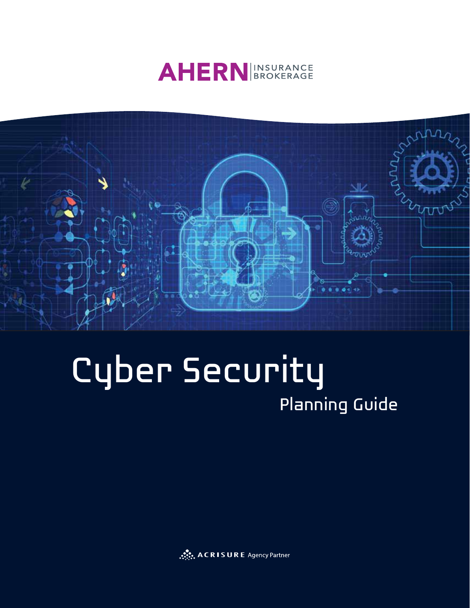



# Cyber Security Planning Guide

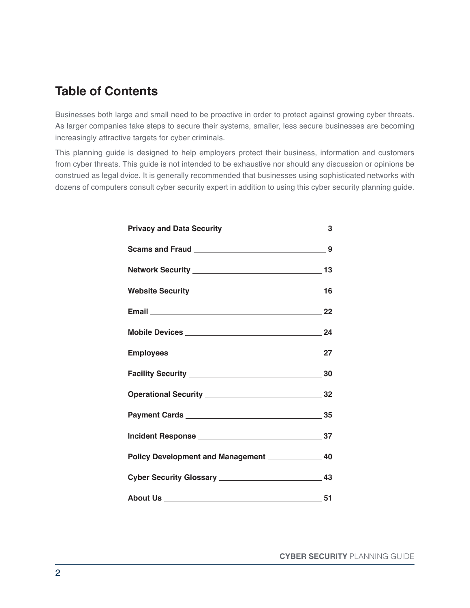# **Table of Contents**

Businesses both large and small need to be proactive in order to protect against growing cyber threats. As larger companies take steps to secure their systems, smaller, less secure businesses are becoming increasingly attractive targets for cyber criminals.

This planning guide is designed to help employers protect their business, information and customers from cyber threats. This guide is not intended to be exhaustive nor should any discussion or opinions be construed as legal dvice. It is generally recommended that businesses using sophisticated networks with dozens of computers consult cyber security expert in addition to using this cyber security planning guide.

| Email 22<br>Policy Development and Management ________________ 40 |  |  |  |
|-------------------------------------------------------------------|--|--|--|
|                                                                   |  |  |  |
|                                                                   |  |  |  |
|                                                                   |  |  |  |
|                                                                   |  |  |  |
|                                                                   |  |  |  |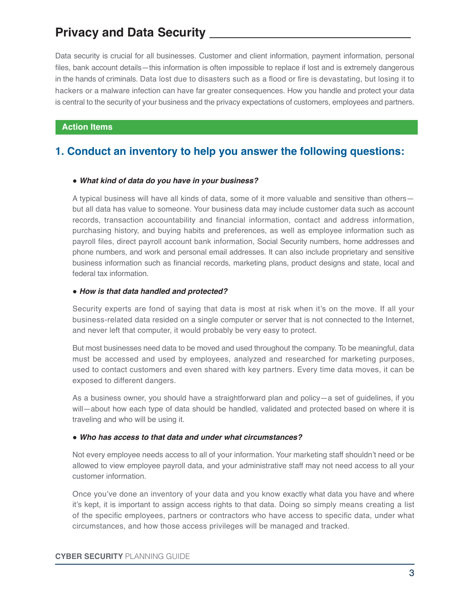# **Privacy and Data Security**

Data security is crucial for all businesses. Customer and client information, payment information, personal files, bank account details—this information is often impossible to replace if lost and is extremely dangerous in the hands of criminals. Data lost due to disasters such as a flood or fire is devastating, but losing it to hackers or a malware infection can have far greater consequences. How you handle and protect your data is central to the security of your business and the privacy expectations of customers, employees and partners.

#### **Action Items**

### **1. Conduct an inventory to help you answer the following questions:**

#### ● *What kind of data do you have in your business?*

A typical business will have all kinds of data, some of it more valuable and sensitive than others but all data has value to someone. Your business data may include customer data such as account records, transaction accountability and financial information, contact and address information, purchasing history, and buying habits and preferences, as well as employee information such as payroll files, direct payroll account bank information, Social Security numbers, home addresses and phone numbers, and work and personal email addresses. It can also include proprietary and sensitive business information such as financial records, marketing plans, product designs and state, local and federal tax information.

#### ● *How is that data handled and protected?*

Security experts are fond of saying that data is most at risk when it's on the move. If all your business-related data resided on a single computer or server that is not connected to the Internet, and never left that computer, it would probably be very easy to protect.

But most businesses need data to be moved and used throughout the company. To be meaningful, data must be accessed and used by employees, analyzed and researched for marketing purposes, used to contact customers and even shared with key partners. Every time data moves, it can be exposed to different dangers.

As a business owner, you should have a straightforward plan and policy—a set of guidelines, if you will—about how each type of data should be handled, validated and protected based on where it is traveling and who will be using it.

#### ● *Who has access to that data and under what circumstances?*

Not every employee needs access to all of your information. Your marketing staff shouldn't need or be allowed to view employee payroll data, and your administrative staff may not need access to all your customer information.

Once you've done an inventory of your data and you know exactly what data you have and where it's kept, it is important to assign access rights to that data. Doing so simply means creating a list of the specific employees, partners or contractors who have access to specific data, under what circumstances, and how those access privileges will be managed and tracked.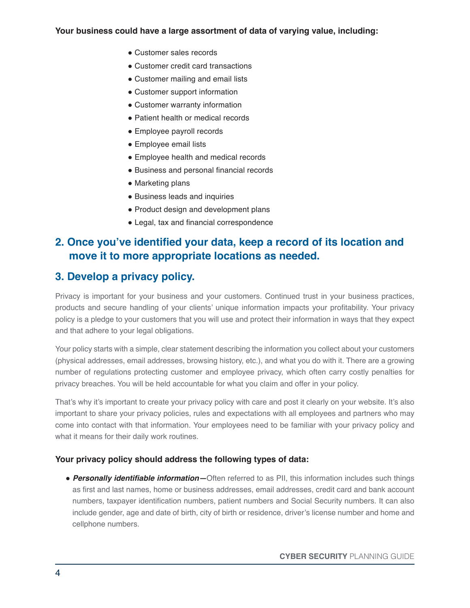#### **Your business could have a large assortment of data of varying value, including:**

- Customer sales records
- Customer credit card transactions
- Customer mailing and email lists
- Customer support information
- Customer warranty information
- Patient health or medical records
- Employee payroll records
- Employee email lists
- Employee health and medical records
- Business and personal financial records
- Marketing plans
- Business leads and inquiries
- Product design and development plans
- Legal, tax and financial correspondence

## **2. Once you've identified your data, keep a record of its location and move it to more appropriate locations as needed.**

### **3. Develop a privacy policy.**

Privacy is important for your business and your customers. Continued trust in your business practices, products and secure handling of your clients' unique information impacts your profitability. Your privacy policy is a pledge to your customers that you will use and protect their information in ways that they expect and that adhere to your legal obligations.

Your policy starts with a simple, clear statement describing the information you collect about your customers (physical addresses, email addresses, browsing history, etc.), and what you do with it. There are a growing number of regulations protecting customer and employee privacy, which often carry costly penalties for privacy breaches. You will be held accountable for what you claim and offer in your policy.

That's why it's important to create your privacy policy with care and post it clearly on your website. It's also important to share your privacy policies, rules and expectations with all employees and partners who may come into contact with that information. Your employees need to be familiar with your privacy policy and what it means for their daily work routines.

#### **Your privacy policy should address the following types of data:**

● **Personally identifiable information—**Often referred to as PII, this information includes such things as first and last names, home or business addresses, email addresses, credit card and bank account numbers, taxpayer identification numbers, patient numbers and Social Security numbers. It can also include gender, age and date of birth, city of birth or residence, driver's license number and home and cellphone numbers.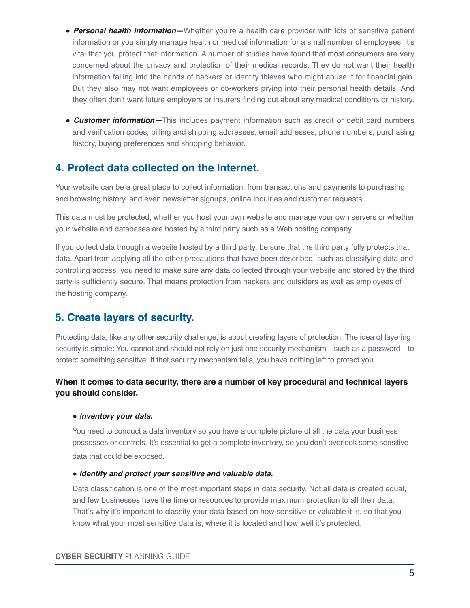- **Personal health information**—Whether you're a health care provider with lots of sensitive patient information or you simply manage health or medical information for a small number of employees, it's vital that you protect that information. A number of studies have found that most consumers are very concerned about the privacy and protection of their medical records. They do not want their health information falling into the hands of hackers or identity thieves who might abuse it for financial gain. But they also may not want employees or co-workers prying into their personal health details. And they often don't want future employers or insurers finding out about any medical conditions or history.
- **Customer information—**This includes payment information such as credit or debit card numbers and verification codes, billing and shipping addresses, email addresses, phone numbers, purchasing history, buying preferences and shopping behavior.

# **4. Protect data collected on the Internet.**

Your website can be a great place to collect information, from transactions and payments to purchasing and browsing history, and even newsletter signups, online inquiries and customer requests.

This data must be protected, whether you host your own website and manage your own servers or whether your website and databases are hosted by a third party such as a Web hosting company.

If you collect data through a website hosted by a third party, be sure that the third party fully protects that data. Apart from applying all the other precautions that have been described, such as classifying data and controlling access, you need to make sure any data collected through your website and stored by the third party is sufficiently secure. That means protection from hackers and outsiders as well as employees of the hosting company.

# **5. Create layers of security.**

Protecting data, like any other security challenge, is about creating layers of protection. The idea of layering security is simple: You cannot and should not rely on just one security mechanism—such as a password—to protect something sensitive. If that security mechanism fails, you have nothing left to protect you.

### **When it comes to data security, there are a number of key procedural and technical layers you should consider.**

#### ● *Inventory your data.*

You need to conduct a data inventory so you have a complete picture of all the data your business possesses or controls. It's essential to get a complete inventory, so you don't overlook some sensitive data that could be exposed.

#### ● *Identify and protect your sensitive and valuable data.*

Data classification is one of the most important steps in data security. Not all data is created equal, and few businesses have the time or resources to provide maximum protection to all their data. That's why it's important to classify your data based on how sensitive or valuable it is, so that you know what your most sensitive data is, where it is located and how well it's protected.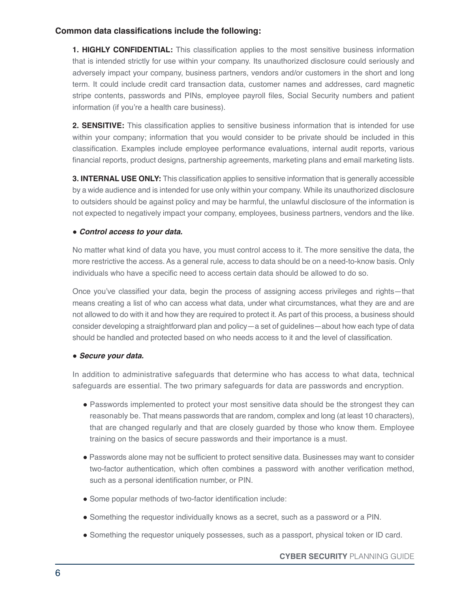#### **Common data classifications include the following:**

**1. HIGHLY CONFIDENTIAL:** This classification applies to the most sensitive business information that is intended strictly for use within your company. Its unauthorized disclosure could seriously and adversely impact your company, business partners, vendors and/or customers in the short and long term. It could include credit card transaction data, customer names and addresses, card magnetic stripe contents, passwords and PINs, employee payroll files, Social Security numbers and patient information (if you're a health care business).

**2. SENSITIVE:** This classification applies to sensitive business information that is intended for use within your company; information that you would consider to be private should be included in this classification. Examples include employee performance evaluations, internal audit reports, various financial reports, product designs, partnership agreements, marketing plans and email marketing lists.

**3. INTERNAL USE ONLY:** This classification applies to sensitive information that is generally accessible by a wide audience and is intended for use only within your company. While its unauthorized disclosure to outsiders should be against policy and may be harmful, the unlawful disclosure of the information is not expected to negatively impact your company, employees, business partners, vendors and the like.

#### ● *Control access to your data.*

No matter what kind of data you have, you must control access to it. The more sensitive the data, the more restrictive the access. As a general rule, access to data should be on a need-to-know basis. Only individuals who have a specific need to access certain data should be allowed to do so.

Once you've classified your data, begin the process of assigning access privileges and rights—that means creating a list of who can access what data, under what circumstances, what they are and are not allowed to do with it and how they are required to protect it. As part of this process, a business should consider developing a straightforward plan and policy—a set of guidelines—about how each type of data should be handled and protected based on who needs access to it and the level of classification.

#### ● *Secure your data.*

In addition to administrative safeguards that determine who has access to what data, technical safeguards are essential. The two primary safeguards for data are passwords and encryption.

- Passwords implemented to protect your most sensitive data should be the strongest they can reasonably be. That means passwords that are random, complex and long (at least 10 characters), that are changed regularly and that are closely guarded by those who know them. Employee training on the basics of secure passwords and their importance is a must.
- Passwords alone may not be sufficient to protect sensitive data. Businesses may want to consider two-factor authentication, which often combines a password with another verification method, such as a personal identification number, or PIN.
- Some popular methods of two-factor identification include:
- Something the requestor individually knows as a secret, such as a password or a PIN.
- Something the requestor uniquely possesses, such as a passport, physical token or ID card.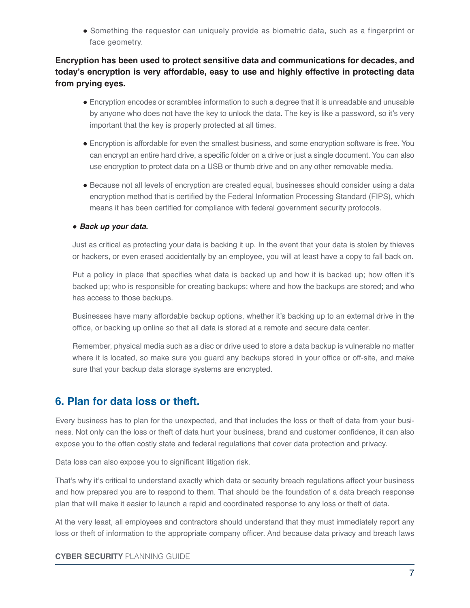● Something the requestor can uniquely provide as biometric data, such as a fingerprint or face geometry.

### **Encryption has been used to protect sensitive data and communications for decades, and today's encryption is very affordable, easy to use and highly effective in protecting data from prying eyes.**

- Encryption encodes or scrambles information to such a degree that it is unreadable and unusable by anyone who does not have the key to unlock the data. The key is like a password, so it's very important that the key is properly protected at all times.
- Encryption is affordable for even the smallest business, and some encryption software is free. You can encrypt an entire hard drive, a specific folder on a drive or just a single document. You can also use encryption to protect data on a USB or thumb drive and on any other removable media.
- Because not all levels of encryption are created equal, businesses should consider using a data encryption method that is certified by the Federal Information Processing Standard (FIPS), which means it has been certified for compliance with federal government security protocols.

#### ● *Back up your data.*

Just as critical as protecting your data is backing it up. In the event that your data is stolen by thieves or hackers, or even erased accidentally by an employee, you will at least have a copy to fall back on.

Put a policy in place that specifies what data is backed up and how it is backed up; how often it's backed up; who is responsible for creating backups; where and how the backups are stored; and who has access to those backups.

Businesses have many affordable backup options, whether it's backing up to an external drive in the office, or backing up online so that all data is stored at a remote and secure data center.

Remember, physical media such as a disc or drive used to store a data backup is vulnerable no matter where it is located, so make sure you guard any backups stored in your office or off-site, and make sure that your backup data storage systems are encrypted.

### **6. Plan for data loss or theft.**

Every business has to plan for the unexpected, and that includes the loss or theft of data from your business. Not only can the loss or theft of data hurt your business, brand and customer confidence, it can also expose you to the often costly state and federal regulations that cover data protection and privacy.

Data loss can also expose you to significant litigation risk.

That's why it's critical to understand exactly which data or security breach regulations affect your business and how prepared you are to respond to them. That should be the foundation of a data breach response plan that will make it easier to launch a rapid and coordinated response to any loss or theft of data.

At the very least, all employees and contractors should understand that they must immediately report any loss or theft of information to the appropriate company officer. And because data privacy and breach laws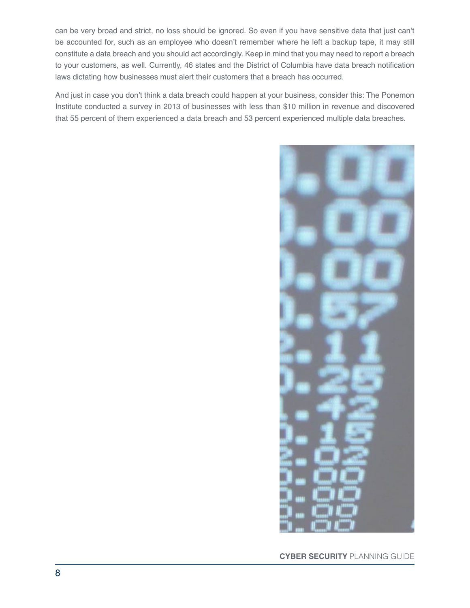can be very broad and strict, no loss should be ignored. So even if you have sensitive data that just can't be accounted for, such as an employee who doesn't remember where he left a backup tape, it may still constitute a data breach and you should act accordingly. Keep in mind that you may need to report a breach to your customers, as well. Currently, 46 states and the District of Columbia have data breach notification laws dictating how businesses must alert their customers that a breach has occurred.

And just in case you don't think a data breach could happen at your business, consider this: The Ponemon Institute conducted a survey in 2013 of businesses with less than \$10 million in revenue and discovered that 55 percent of them experienced a data breach and 53 percent experienced multiple data breaches.

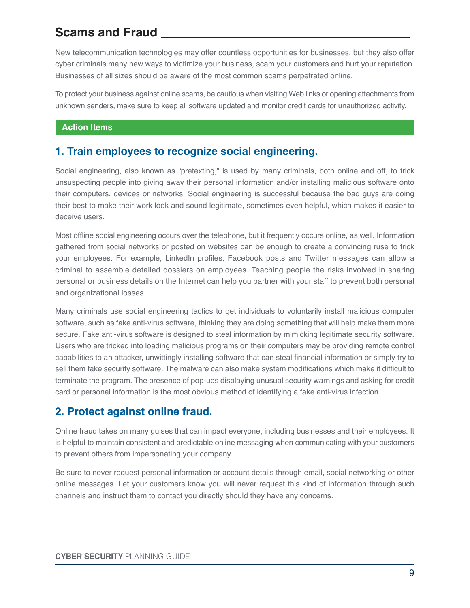# **Scams and Fraud**

New telecommunication technologies may offer countless opportunities for businesses, but they also offer cyber criminals many new ways to victimize your business, scam your customers and hurt your reputation. Businesses of all sizes should be aware of the most common scams perpetrated online.

To protect your business against online scams, be cautious when visiting Web links or opening attachments from unknown senders, make sure to keep all software updated and monitor credit cards for unauthorized activity.

#### **Action Items**

### **1. Train employees to recognize social engineering.**

Social engineering, also known as "pretexting," is used by many criminals, both online and off, to trick unsuspecting people into giving away their personal information and/or installing malicious software onto their computers, devices or networks. Social engineering is successful because the bad guys are doing their best to make their work look and sound legitimate, sometimes even helpful, which makes it easier to deceive users.

Most offline social engineering occurs over the telephone, but it frequently occurs online, as well. Information gathered from social networks or posted on websites can be enough to create a convincing ruse to trick your employees. For example, LinkedIn profiles, Facebook posts and Twitter messages can allow a criminal to assemble detailed dossiers on employees. Teaching people the risks involved in sharing personal or business details on the Internet can help you partner with your staff to prevent both personal and organizational losses.

Many criminals use social engineering tactics to get individuals to voluntarily install malicious computer software, such as fake anti-virus software, thinking they are doing something that will help make them more secure. Fake anti-virus software is designed to steal information by mimicking legitimate security software. Users who are tricked into loading malicious programs on their computers may be providing remote control capabilities to an attacker, unwittingly installing software that can steal financial information or simply try to sell them fake security software. The malware can also make system modifications which make it difficult to terminate the program. The presence of pop-ups displaying unusual security warnings and asking for credit card or personal information is the most obvious method of identifying a fake anti-virus infection.

### **2. Protect against online fraud.**

Online fraud takes on many guises that can impact everyone, including businesses and their employees. It is helpful to maintain consistent and predictable online messaging when communicating with your customers to prevent others from impersonating your company.

Be sure to never request personal information or account details through email, social networking or other online messages. Let your customers know you will never request this kind of information through such channels and instruct them to contact you directly should they have any concerns.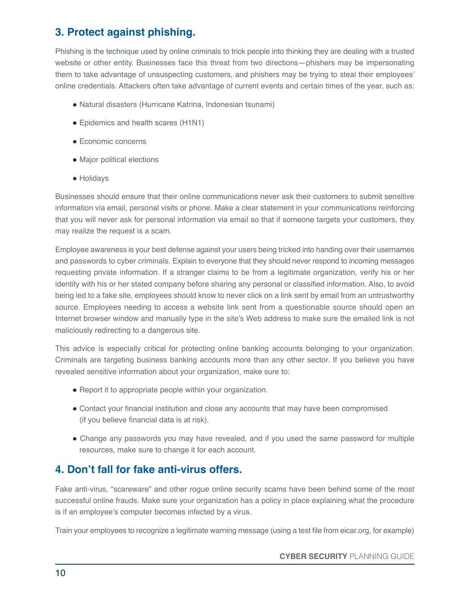# **3. Protect against phishing.**

Phishing is the technique used by online criminals to trick people into thinking they are dealing with a trusted website or other entity. Businesses face this threat from two directions—phishers may be impersonating them to take advantage of unsuspecting customers, and phishers may be trying to steal their employees' online credentials. Attackers often take advantage of current events and certain times of the year, such as:

- Natural disasters (Hurricane Katrina, Indonesian tsunami)
- Epidemics and health scares (H1N1)
- Economic concerns
- Major political elections
- Holidays

Businesses should ensure that their online communications never ask their customers to submit sensitive information via email, personal visits or phone. Make a clear statement in your communications reinforcing that you will never ask for personal information via email so that if someone targets your customers, they may realize the request is a scam.

Employee awareness is your best defense against your users being tricked into handing over their usernames and passwords to cyber criminals. Explain to everyone that they should never respond to incoming messages requesting private information. If a stranger claims to be from a legitimate organization, verify his or her identity with his or her stated company before sharing any personal or classified information. Also, to avoid being led to a fake site, employees should know to never click on a link sent by email from an untrustworthy source. Employees needing to access a website link sent from a questionable source should open an Internet browser window and manually type in the site's Web address to make sure the emailed link is not maliciously redirecting to a dangerous site.

This advice is especially critical for protecting online banking accounts belonging to your organization. Criminals are targeting business banking accounts more than any other sector. If you believe you have revealed sensitive information about your organization, make sure to:

- Report it to appropriate people within your organization.
- Contact your financial institution and close any accounts that may have been compromised (if you believe financial data is at risk).
- Change any passwords you may have revealed, and if you used the same password for multiple resources, make sure to change it for each account.

# **4. Don't fall for fake anti-virus offers.**

Fake anti-virus, "scareware" and other rogue online security scams have been behind some of the most successful online frauds. Make sure your organization has a policy in place explaining what the procedure is if an employee's computer becomes infected by a virus.

Train your employees to recognize a legitimate warning message (using a test file from eicar.org, for example)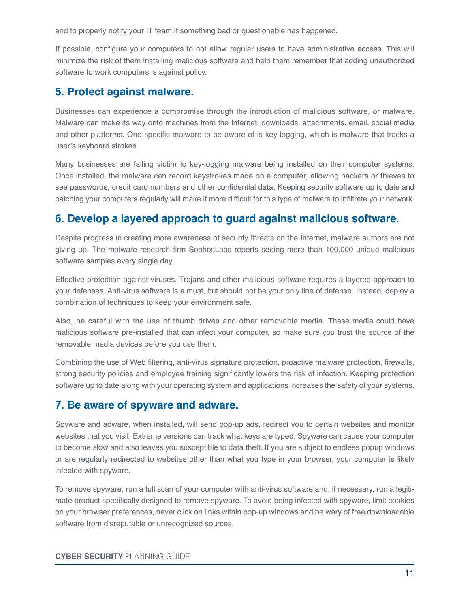and to properly notify your IT team if something bad or questionable has happened.

If possible, configure your computers to not allow regular users to have administrative access. This will minimize the risk of them installing malicious software and help them remember that adding unauthorized software to work computers is against policy.

### **5. Protect against malware.**

Businesses can experience a compromise through the introduction of malicious software, or malware. Malware can make its way onto machines from the Internet, downloads, attachments, email, social media and other platforms. One specific malware to be aware of is key logging, which is malware that tracks a user's keyboard strokes.

Many businesses are falling victim to key-logging malware being installed on their computer systems. Once installed, the malware can record keystrokes made on a computer, allowing hackers or thieves to see passwords, credit card numbers and other confidential data. Keeping security software up to date and patching your computers regularly will make it more difficult for this type of malware to infiltrate your network.

### **6. Develop a layered approach to guard against malicious software.**

Despite progress in creating more awareness of security threats on the Internet, malware authors are not giving up. The malware research firm SophosLabs reports seeing more than 100,000 unique malicious software samples every single day.

Effective protection against viruses, Trojans and other malicious software requires a layered approach to your defenses. Anti-virus software is a must, but should not be your only line of defense. Instead, deploy a combination of techniques to keep your environment safe.

Also, be careful with the use of thumb drives and other removable media. These media could have malicious software pre-installed that can infect your computer, so make sure you trust the source of the removable media devices before you use them.

Combining the use of Web filtering, anti-virus signature protection, proactive malware protection, firewalls, strong security policies and employee training significantly lowers the risk of infection. Keeping protection software up to date along with your operating system and applications increases the safety of your systems.

### **7. Be aware of spyware and adware.**

Spyware and adware, when installed, will send pop-up ads, redirect you to certain websites and monitor websites that you visit. Extreme versions can track what keys are typed. Spyware can cause your computer to become slow and also leaves you susceptible to data theft. If you are subject to endless popup windows or are regularly redirected to websites other than what you type in your browser, your computer is likely infected with spyware.

To remove spyware, run a full scan of your computer with anti-virus software and, if necessary, run a legitimate product specifically designed to remove spyware. To avoid being infected with spyware, limit cookies on your browser preferences, never click on links within pop-up windows and be wary of free downloadable software from disreputable or unrecognized sources.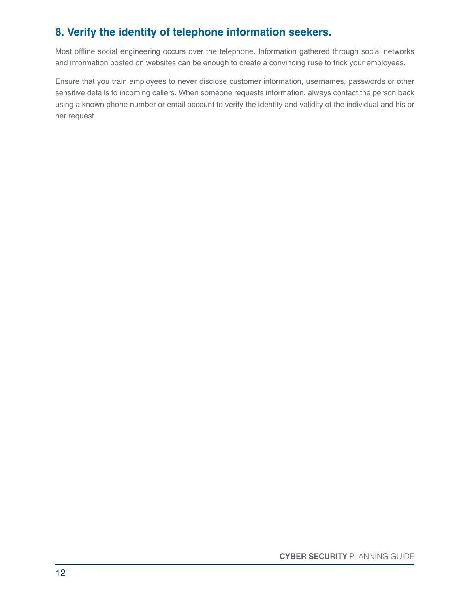# **8. Verify the identity of telephone information seekers.**

Most offline social engineering occurs over the telephone. Information gathered through social networks and information posted on websites can be enough to create a convincing ruse to trick your employees.

Ensure that you train employees to never disclose customer information, usernames, passwords or other sensitive details to incoming callers. When someone requests information, always contact the person back using a known phone number or email account to verify the identity and validity of the individual and his or her request.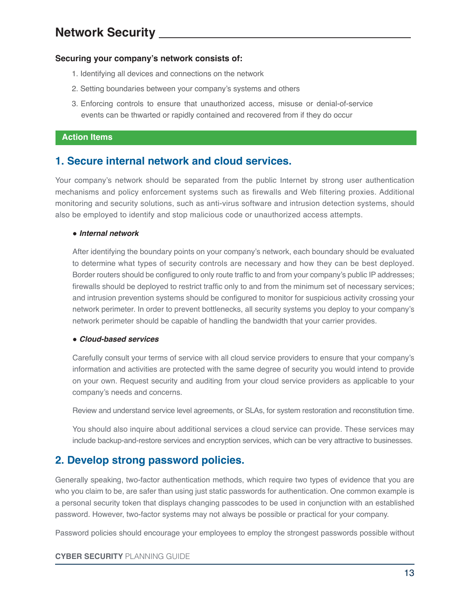#### **Securing your company's network consists of:**

- 1. Identifying all devices and connections on the network
- 2. Setting boundaries between your company's systems and others
- 3. Enforcing controls to ensure that unauthorized access, misuse or denial-of-service events can be thwarted or rapidly contained and recovered from if they do occur

#### **Action Items**

### **1. Secure internal network and cloud services.**

Your company's network should be separated from the public Internet by strong user authentication mechanisms and policy enforcement systems such as firewalls and Web filtering proxies. Additional monitoring and security solutions, such as anti-virus software and intrusion detection systems, should also be employed to identify and stop malicious code or unauthorized access attempts.

#### ● *Internal network*

After identifying the boundary points on your company's network, each boundary should be evaluated to determine what types of security controls are necessary and how they can be best deployed. Border routers should be configured to only route traffic to and from your company's public IP addresses; firewalls should be deployed to restrict traffic only to and from the minimum set of necessary services; and intrusion prevention systems should be configured to monitor for suspicious activity crossing your network perimeter. In order to prevent bottlenecks, all security systems you deploy to your company's network perimeter should be capable of handling the bandwidth that your carrier provides.

#### ● *Cloud-based services*

Carefully consult your terms of service with all cloud service providers to ensure that your company's information and activities are protected with the same degree of security you would intend to provide on your own. Request security and auditing from your cloud service providers as applicable to your company's needs and concerns.

Review and understand service level agreements, or SLAs, for system restoration and reconstitution time.

You should also inquire about additional services a cloud service can provide. These services may include backup-and-restore services and encryption services, which can be very attractive to businesses.

### **2. Develop strong password policies.**

Generally speaking, two-factor authentication methods, which require two types of evidence that you are who you claim to be, are safer than using just static passwords for authentication. One common example is a personal security token that displays changing passcodes to be used in conjunction with an established password. However, two-factor systems may not always be possible or practical for your company.

Password policies should encourage your employees to employ the strongest passwords possible without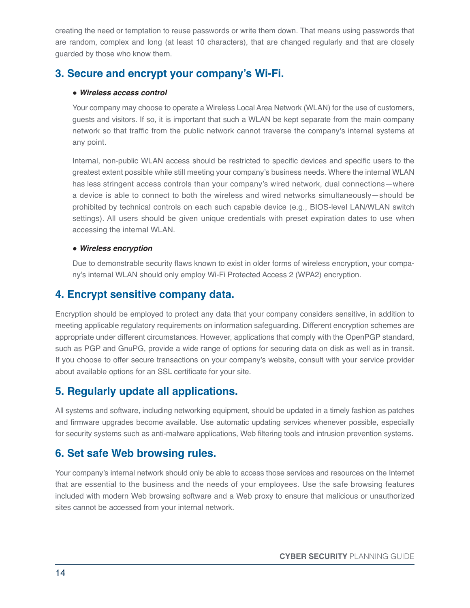creating the need or temptation to reuse passwords or write them down. That means using passwords that are random, complex and long (at least 10 characters), that are changed regularly and that are closely guarded by those who know them.

# **3. Secure and encrypt your company's Wi-Fi.**

#### ● *Wireless access control*

Your company may choose to operate a Wireless Local Area Network (WLAN) for the use of customers, guests and visitors. If so, it is important that such a WLAN be kept separate from the main company network so that traffic from the public network cannot traverse the company's internal systems at any point.

Internal, non-public WLAN access should be restricted to specific devices and specific users to the greatest extent possible while still meeting your company's business needs. Where the internal WLAN has less stringent access controls than your company's wired network, dual connections—where a device is able to connect to both the wireless and wired networks simultaneously—should be prohibited by technical controls on each such capable device (e.g., BIOS-level LAN/WLAN switch settings). All users should be given unique credentials with preset expiration dates to use when accessing the internal WLAN.

#### ● *Wireless encryption*

Due to demonstrable security flaws known to exist in older forms of wireless encryption, your company's internal WLAN should only employ Wi-Fi Protected Access 2 (WPA2) encryption.

### **4. Encrypt sensitive company data.**

Encryption should be employed to protect any data that your company considers sensitive, in addition to meeting applicable regulatory requirements on information safeguarding. Different encryption schemes are appropriate under different circumstances. However, applications that comply with the OpenPGP standard, such as PGP and GnuPG, provide a wide range of options for securing data on disk as well as in transit. If you choose to offer secure transactions on your company's website, consult with your service provider about available options for an SSL certificate for your site.

### **5. Regularly update all applications.**

All systems and software, including networking equipment, should be updated in a timely fashion as patches and firmware upgrades become available. Use automatic updating services whenever possible, especially for security systems such as anti-malware applications, Web filtering tools and intrusion prevention systems.

# **6. Set safe Web browsing rules.**

Your company's internal network should only be able to access those services and resources on the Internet that are essential to the business and the needs of your employees. Use the safe browsing features included with modern Web browsing software and a Web proxy to ensure that malicious or unauthorized sites cannot be accessed from your internal network.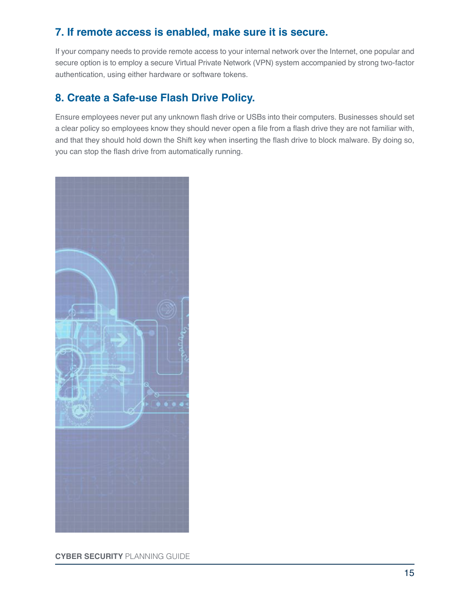### **7. If remote access is enabled, make sure it is secure.**

If your company needs to provide remote access to your internal network over the Internet, one popular and secure option is to employ a secure Virtual Private Network (VPN) system accompanied by strong two-factor authentication, using either hardware or software tokens.

## **8. Create a Safe-use Flash Drive Policy.**

Ensure employees never put any unknown flash drive or USBs into their computers. Businesses should set a clear policy so employees know they should never open a file from a flash drive they are not familiar with, and that they should hold down the Shift key when inserting the flash drive to block malware. By doing so, you can stop the flash drive from automatically running.

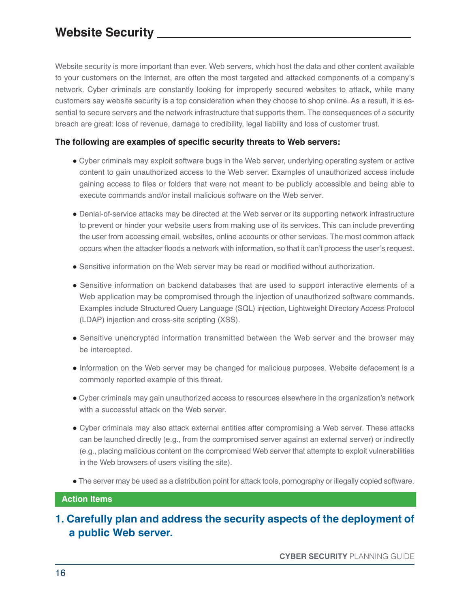Website security is more important than ever. Web servers, which host the data and other content available to your customers on the Internet, are often the most targeted and attacked components of a company's network. Cyber criminals are constantly looking for improperly secured websites to attack, while many customers say website security is a top consideration when they choose to shop online. As a result, it is essential to secure servers and the network infrastructure that supports them. The consequences of a security breach are great: loss of revenue, damage to credibility, legal liability and loss of customer trust.

#### **The following are examples of specific security threats to Web servers:**

- Cyber criminals may exploit software bugs in the Web server, underlying operating system or active content to gain unauthorized access to the Web server. Examples of unauthorized access include gaining access to files or folders that were not meant to be publicly accessible and being able to execute commands and/or install malicious software on the Web server.
- Denial-of-service attacks may be directed at the Web server or its supporting network infrastructure to prevent or hinder your website users from making use of its services. This can include preventing the user from accessing email, websites, online accounts or other services. The most common attack occurs when the attacker floods a network with information, so that it can't process the user's request.
- Sensitive information on the Web server may be read or modified without authorization.
- Sensitive information on backend databases that are used to support interactive elements of a Web application may be compromised through the injection of unauthorized software commands. Examples include Structured Query Language (SQL) injection, Lightweight Directory Access Protocol (LDAP) injection and cross-site scripting (XSS).
- Sensitive unencrypted information transmitted between the Web server and the browser may be intercepted.
- Information on the Web server may be changed for malicious purposes. Website defacement is a commonly reported example of this threat.
- Cyber criminals may gain unauthorized access to resources elsewhere in the organization's network with a successful attack on the Web server.
- Cyber criminals may also attack external entities after compromising a Web server. These attacks can be launched directly (e.g., from the compromised server against an external server) or indirectly (e.g., placing malicious content on the compromised Web server that attempts to exploit vulnerabilities in the Web browsers of users visiting the site).
- The server may be used as a distribution point for attack tools, pornography or illegally copied software.

#### **Action Items**

**1. Carefully plan and address the security aspects of the deployment of a public Web server.**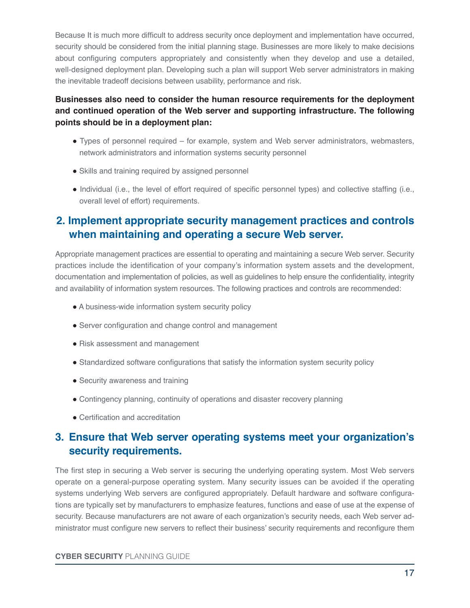Because It is much more difficult to address security once deployment and implementation have occurred, security should be considered from the initial planning stage. Businesses are more likely to make decisions about configuring computers appropriately and consistently when they develop and use a detailed, well-designed deployment plan. Developing such a plan will support Web server administrators in making the inevitable tradeoff decisions between usability, performance and risk.

### **Businesses also need to consider the human resource requirements for the deployment and continued operation of the Web server and supporting infrastructure. The following points should be in a deployment plan:**

- Types of personnel required for example, system and Web server administrators, webmasters, network administrators and information systems security personnel
- Skills and training required by assigned personnel
- Individual (i.e., the level of effort required of specific personnel types) and collective staffing (i.e., overall level of effort) requirements.

# **2. Implement appropriate security management practices and controls when maintaining and operating a secure Web server.**

Appropriate management practices are essential to operating and maintaining a secure Web server. Security practices include the identification of your company's information system assets and the development, documentation and implementation of policies, as well as guidelines to help ensure the confidentiality, integrity and availability of information system resources. The following practices and controls are recommended:

- A business-wide information system security policy
- Server configuration and change control and management
- Risk assessment and management
- Standardized software configurations that satisfy the information system security policy
- Security awareness and training
- Contingency planning, continuity of operations and disaster recovery planning
- Certification and accreditation

### **3. Ensure that Web server operating systems meet your organization's security requirements.**

The first step in securing a Web server is securing the underlying operating system. Most Web servers operate on a general-purpose operating system. Many security issues can be avoided if the operating systems underlying Web servers are configured appropriately. Default hardware and software configurations are typically set by manufacturers to emphasize features, functions and ease of use at the expense of security. Because manufacturers are not aware of each organization's security needs, each Web server administrator must configure new servers to reflect their business' security requirements and reconfigure them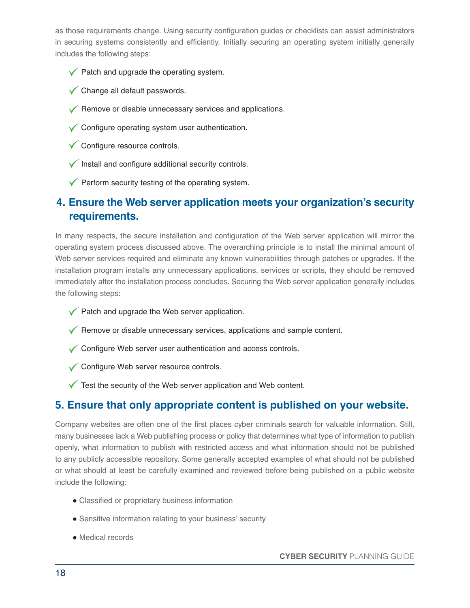as those requirements change. Using security configuration guides or checklists can assist administrators in securing systems consistently and efficiently. Initially securing an operating system initially generally includes the following steps:

- $\sqrt{\phantom{a}}$  Patch and upgrade the operating system.
- $\checkmark$  Change all default passwords.
- $\sqrt{\ }$  Remove or disable unnecessary services and applications.
- Configure operating system user authentication.
- $\checkmark$  Configure resource controls.
- $\sqrt{}$  Install and configure additional security controls.
- $\sqrt{\ }$  Perform security testing of the operating system.

## **4. Ensure the Web server application meets your organization's security requirements.**

In many respects, the secure installation and configuration of the Web server application will mirror the operating system process discussed above. The overarching principle is to install the minimal amount of Web server services required and eliminate any known vulnerabilities through patches or upgrades. If the installation program installs any unnecessary applications, services or scripts, they should be removed immediately after the installation process concludes. Securing the Web server application generally includes the following steps:

- $\sqrt{\phantom{a}}$  Patch and upgrade the Web server application.
- $\sqrt{\ }$  Remove or disable unnecessary services, applications and sample content.
- Configure Web server user authentication and access controls.
- Configure Web server resource controls.
- $\checkmark$  Test the security of the Web server application and Web content.

### **5. Ensure that only appropriate content is published on your website.**

Company websites are often one of the first places cyber criminals search for valuable information. Still, many businesses lack a Web publishing process or policy that determines what type of information to publish openly, what information to publish with restricted access and what information should not be published to any publicly accessible repository. Some generally accepted examples of what should not be published or what should at least be carefully examined and reviewed before being published on a public website include the following:

- Classified or proprietary business information
- Sensitive information relating to your business' security
- Medical records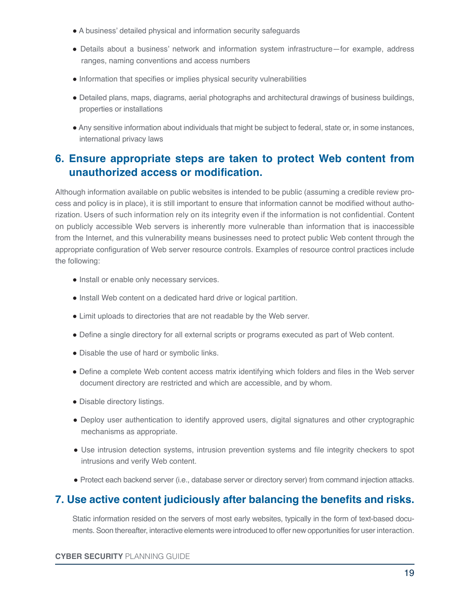- A business' detailed physical and information security safeguards
- Details about a business' network and information system infrastructure—for example, address ranges, naming conventions and access numbers
- Information that specifies or implies physical security vulnerabilities
- Detailed plans, maps, diagrams, aerial photographs and architectural drawings of business buildings, properties or installations
- Any sensitive information about individuals that might be subject to federal, state or, in some instances, international privacy laws

# **6. Ensure appropriate steps are taken to protect Web content from unauthorized access or modification.**

Although information available on public websites is intended to be public (assuming a credible review process and policy is in place), it is still important to ensure that information cannot be modified without authorization. Users of such information rely on its integrity even if the information is not confidential. Content on publicly accessible Web servers is inherently more vulnerable than information that is inaccessible from the Internet, and this vulnerability means businesses need to protect public Web content through the appropriate configuration of Web server resource controls. Examples of resource control practices include the following:

- Install or enable only necessary services.
- Install Web content on a dedicated hard drive or logical partition.
- Limit uploads to directories that are not readable by the Web server.
- Define a single directory for all external scripts or programs executed as part of Web content.
- Disable the use of hard or symbolic links.
- Define a complete Web content access matrix identifying which folders and files in the Web server document directory are restricted and which are accessible, and by whom.
- Disable directory listings.
- Deploy user authentication to identify approved users, digital signatures and other cryptographic mechanisms as appropriate.
- Use intrusion detection systems, intrusion prevention systems and file integrity checkers to spot intrusions and verify Web content.
- Protect each backend server (i.e., database server or directory server) from command injection attacks.

### **7. Use active content judiciously after balancing the benefits and risks.**

Static information resided on the servers of most early websites, typically in the form of text-based documents. Soon thereafter, interactive elements were introduced to offer new opportunities for user interaction.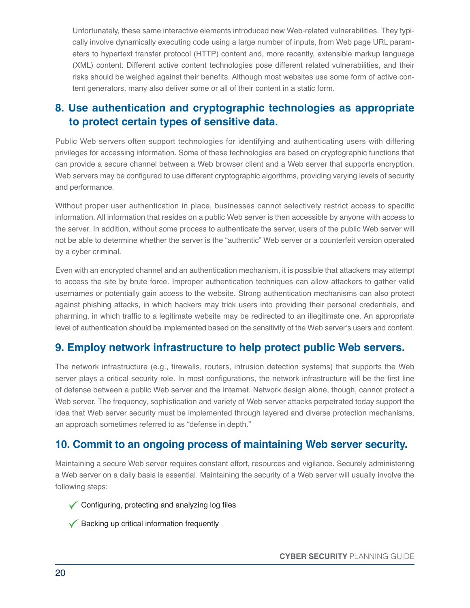Unfortunately, these same interactive elements introduced new Web-related vulnerabilities. They typically involve dynamically executing code using a large number of inputs, from Web page URL parameters to hypertext transfer protocol (HTTP) content and, more recently, extensible markup language (XML) content. Different active content technologies pose different related vulnerabilities, and their risks should be weighed against their benefits. Although most websites use some form of active content generators, many also deliver some or all of their content in a static form.

# **8. Use authentication and cryptographic technologies as appropriate to protect certain types of sensitive data.**

Public Web servers often support technologies for identifying and authenticating users with differing privileges for accessing information. Some of these technologies are based on cryptographic functions that can provide a secure channel between a Web browser client and a Web server that supports encryption. Web servers may be configured to use different cryptographic algorithms, providing varying levels of security and performance.

Without proper user authentication in place, businesses cannot selectively restrict access to specific information. All information that resides on a public Web server is then accessible by anyone with access to the server. In addition, without some process to authenticate the server, users of the public Web server will not be able to determine whether the server is the "authentic" Web server or a counterfeit version operated by a cyber criminal.

Even with an encrypted channel and an authentication mechanism, it is possible that attackers may attempt to access the site by brute force. Improper authentication techniques can allow attackers to gather valid usernames or potentially gain access to the website. Strong authentication mechanisms can also protect against phishing attacks, in which hackers may trick users into providing their personal credentials, and pharming, in which traffic to a legitimate website may be redirected to an illegitimate one. An appropriate level of authentication should be implemented based on the sensitivity of the Web server's users and content.

# **9. Employ network infrastructure to help protect public Web servers.**

The network infrastructure (e.g., firewalls, routers, intrusion detection systems) that supports the Web server plays a critical security role. In most configurations, the network infrastructure will be the first line of defense between a public Web server and the Internet. Network design alone, though, cannot protect a Web server. The frequency, sophistication and variety of Web server attacks perpetrated today support the idea that Web server security must be implemented through layered and diverse protection mechanisms, an approach sometimes referred to as "defense in depth."

# **10. Commit to an ongoing process of maintaining Web server security.**

Maintaining a secure Web server requires constant effort, resources and vigilance. Securely administering a Web server on a daily basis is essential. Maintaining the security of a Web server will usually involve the following steps:

- $\checkmark$  Configuring, protecting and analyzing log files
- $\checkmark$  Backing up critical information frequently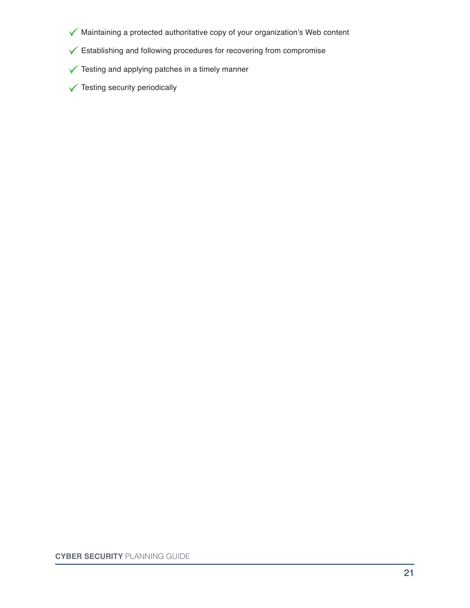- Maintaining a protected authoritative copy of your organization's Web content
- $\checkmark$  Establishing and following procedures for recovering from compromise
- $\checkmark$  Testing and applying patches in a timely manner
- $\checkmark$  Testing security periodically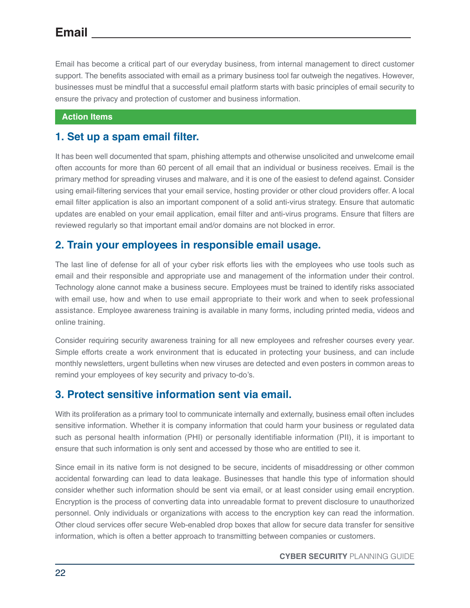Email has become a critical part of our everyday business, from internal management to direct customer support. The benefits associated with email as a primary business tool far outweigh the negatives. However, businesses must be mindful that a successful email platform starts with basic principles of email security to ensure the privacy and protection of customer and business information.

#### **Action Items**

### **1. Set up a spam email filter.**

It has been well documented that spam, phishing attempts and otherwise unsolicited and unwelcome email often accounts for more than 60 percent of all email that an individual or business receives. Email is the primary method for spreading viruses and malware, and it is one of the easiest to defend against. Consider using email-filtering services that your email service, hosting provider or other cloud providers offer. A local email filter application is also an important component of a solid anti-virus strategy. Ensure that automatic updates are enabled on your email application, email filter and anti-virus programs. Ensure that filters are reviewed regularly so that important email and/or domains are not blocked in error.

### **2. Train your employees in responsible email usage.**

The last line of defense for all of your cyber risk efforts lies with the employees who use tools such as email and their responsible and appropriate use and management of the information under their control. Technology alone cannot make a business secure. Employees must be trained to identify risks associated with email use, how and when to use email appropriate to their work and when to seek professional assistance. Employee awareness training is available in many forms, including printed media, videos and online training.

Consider requiring security awareness training for all new employees and refresher courses every year. Simple efforts create a work environment that is educated in protecting your business, and can include monthly newsletters, urgent bulletins when new viruses are detected and even posters in common areas to remind your employees of key security and privacy to-do's.

### **3. Protect sensitive information sent via email.**

With its proliferation as a primary tool to communicate internally and externally, business email often includes sensitive information. Whether it is company information that could harm your business or regulated data such as personal health information (PHI) or personally identifiable information (PII), it is important to ensure that such information is only sent and accessed by those who are entitled to see it.

Since email in its native form is not designed to be secure, incidents of misaddressing or other common accidental forwarding can lead to data leakage. Businesses that handle this type of information should consider whether such information should be sent via email, or at least consider using email encryption. Encryption is the process of converting data into unreadable format to prevent disclosure to unauthorized personnel. Only individuals or organizations with access to the encryption key can read the information. Other cloud services offer secure Web-enabled drop boxes that allow for secure data transfer for sensitive information, which is often a better approach to transmitting between companies or customers.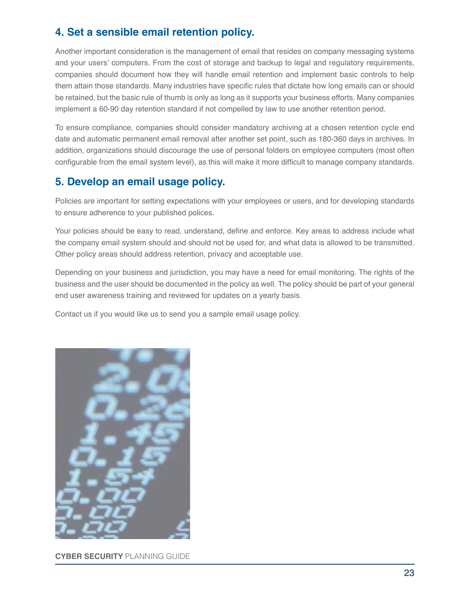### **4. Set a sensible email retention policy.**

Another important consideration is the management of email that resides on company messaging systems and your users' computers. From the cost of storage and backup to legal and regulatory requirements, companies should document how they will handle email retention and implement basic controls to help them attain those standards. Many industries have specific rules that dictate how long emails can or should be retained, but the basic rule of thumb is only as long as it supports your business efforts. Many companies implement a 60-90 day retention standard if not compelled by law to use another retention period.

To ensure compliance, companies should consider mandatory archiving at a chosen retention cycle end date and automatic permanent email removal after another set point, such as 180-360 days in archives. In addition, organizations should discourage the use of personal folders on employee computers (most often configurable from the email system level), as this will make it more difficult to manage company standards.

### **5. Develop an email usage policy.**

Policies are important for setting expectations with your employees or users, and for developing standards to ensure adherence to your published polices.

Your policies should be easy to read, understand, define and enforce. Key areas to address include what the company email system should and should not be used for, and what data is allowed to be transmitted. Other policy areas should address retention, privacy and acceptable use.

Depending on your business and jurisdiction, you may have a need for email monitoring. The rights of the business and the user should be documented in the policy as well. The policy should be part of your general end user awareness training and reviewed for updates on a yearly basis.

Contact us if you would like us to send you a sample email usage policy.

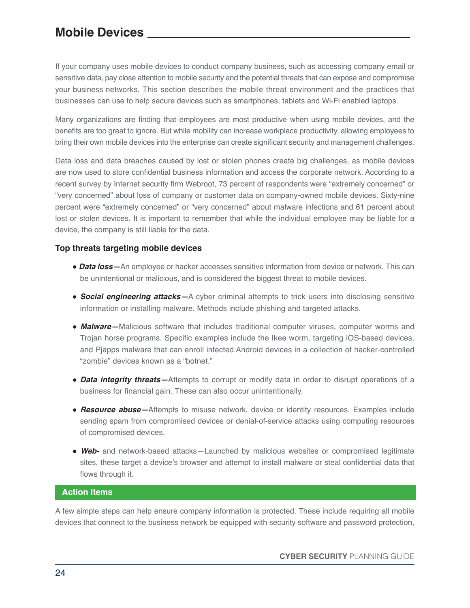If your company uses mobile devices to conduct company business, such as accessing company email or sensitive data, pay close attention to mobile security and the potential threats that can expose and compromise your business networks. This section describes the mobile threat environment and the practices that businesses can use to help secure devices such as smartphones, tablets and Wi-Fi enabled laptops.

Many organizations are finding that employees are most productive when using mobile devices, and the benefits are too great to ignore. But while mobility can increase workplace productivity, allowing employees to bring their own mobile devices into the enterprise can create significant security and management challenges.

Data loss and data breaches caused by lost or stolen phones create big challenges, as mobile devices are now used to store confidential business information and access the corporate network. According to a recent survey by Internet security firm Webroot, 73 percent of respondents were "extremely concerned" or "very concerned" about loss of company or customer data on company-owned mobile devices. Sixty-nine percent were "extremely concerned" or "very concerned" about malware infections and 61 percent about lost or stolen devices. It is important to remember that while the individual employee may be liable for a device, the company is still liable for the data.

#### **Top threats targeting mobile devices**

- **Data loss—**An employee or hacker accesses sensitive information from device or network. This can be unintentional or malicious, and is considered the biggest threat to mobile devices.
- **Social engineering attacks**—A cyber criminal attempts to trick users into disclosing sensitive information or installing malware. Methods include phishing and targeted attacks.
- **Malware**—Malicious software that includes traditional computer viruses, computer worms and Trojan horse programs. Specific examples include the Ikee worm, targeting iOS-based devices, and Pjapps malware that can enroll infected Android devices in a collection of hacker-controlled "zombie" devices known as a "botnet."
- **Data integrity threats—**Attempts to corrupt or modify data in order to disrupt operations of a business for financial gain. These can also occur unintentionally.
- **Resource abuse—**Attempts to misuse network, device or identity resources. Examples include sending spam from compromised devices or denial-of-service attacks using computing resources of compromised devices.
- *Web-* and network-based attacks—Launched by malicious websites or compromised legitimate sites, these target a device's browser and attempt to install malware or steal confidential data that flows through it.

#### **Action Items**

A few simple steps can help ensure company information is protected. These include requiring all mobile devices that connect to the business network be equipped with security software and password protection,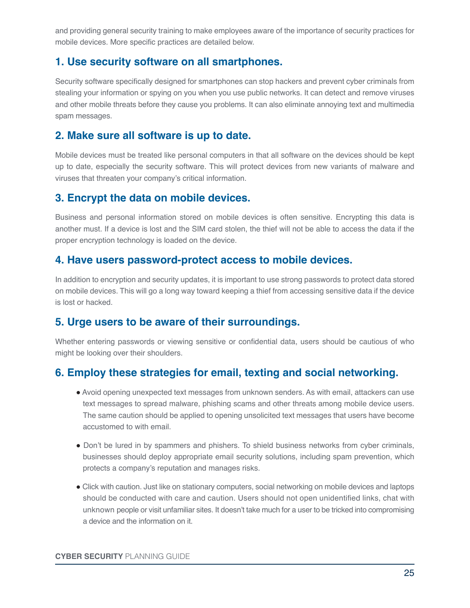and providing general security training to make employees aware of the importance of security practices for mobile devices. More specific practices are detailed below.

### **1. Use security software on all smartphones.**

Security software specifically designed for smartphones can stop hackers and prevent cyber criminals from stealing your information or spying on you when you use public networks. It can detect and remove viruses and other mobile threats before they cause you problems. It can also eliminate annoying text and multimedia spam messages.

### **2. Make sure all software is up to date.**

Mobile devices must be treated like personal computers in that all software on the devices should be kept up to date, especially the security software. This will protect devices from new variants of malware and viruses that threaten your company's critical information.

### **3. Encrypt the data on mobile devices.**

Business and personal information stored on mobile devices is often sensitive. Encrypting this data is another must. If a device is lost and the SIM card stolen, the thief will not be able to access the data if the proper encryption technology is loaded on the device.

### **4. Have users password-protect access to mobile devices.**

In addition to encryption and security updates, it is important to use strong passwords to protect data stored on mobile devices. This will go a long way toward keeping a thief from accessing sensitive data if the device is lost or hacked.

### **5. Urge users to be aware of their surroundings.**

Whether entering passwords or viewing sensitive or confidential data, users should be cautious of who might be looking over their shoulders.

### **6. Employ these strategies for email, texting and social networking.**

- Avoid opening unexpected text messages from unknown senders. As with email, attackers can use text messages to spread malware, phishing scams and other threats among mobile device users. The same caution should be applied to opening unsolicited text messages that users have become accustomed to with email.
- Don't be lured in by spammers and phishers. To shield business networks from cyber criminals, businesses should deploy appropriate email security solutions, including spam prevention, which protects a company's reputation and manages risks.
- Click with caution. Just like on stationary computers, social networking on mobile devices and laptops should be conducted with care and caution. Users should not open unidentified links, chat with unknown people or visit unfamiliar sites. It doesn't take much for a user to be tricked into compromising a device and the information on it.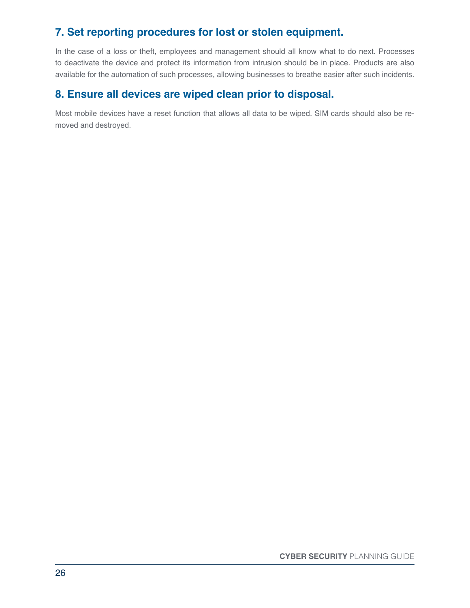# **7. Set reporting procedures for lost or stolen equipment.**

In the case of a loss or theft, employees and management should all know what to do next. Processes to deactivate the device and protect its information from intrusion should be in place. Products are also available for the automation of such processes, allowing businesses to breathe easier after such incidents.

### **8. Ensure all devices are wiped clean prior to disposal.**

Most mobile devices have a reset function that allows all data to be wiped. SIM cards should also be removed and destroyed.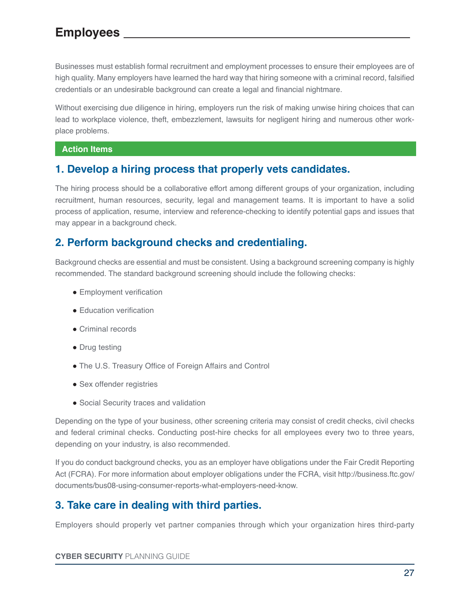# **Employees**

Businesses must establish formal recruitment and employment processes to ensure their employees are of high quality. Many employers have learned the hard way that hiring someone with a criminal record, falsified credentials or an undesirable background can create a legal and financial nightmare.

Without exercising due diligence in hiring, employers run the risk of making unwise hiring choices that can lead to workplace violence, theft, embezzlement, lawsuits for negligent hiring and numerous other workplace problems.

#### **Action Items**

### **1. Develop a hiring process that properly vets candidates.**

The hiring process should be a collaborative effort among different groups of your organization, including recruitment, human resources, security, legal and management teams. It is important to have a solid process of application, resume, interview and reference-checking to identify potential gaps and issues that may appear in a background check.

### **2. Perform background checks and credentialing.**

Background checks are essential and must be consistent. Using a background screening company is highly recommended. The standard background screening should include the following checks:

- Employment verification
- Education verification
- Criminal records
- Drug testing
- The U.S. Treasury Office of Foreign Affairs and Control
- Sex offender registries
- Social Security traces and validation

Depending on the type of your business, other screening criteria may consist of credit checks, civil checks and federal criminal checks. Conducting post-hire checks for all employees every two to three years, depending on your industry, is also recommended.

If you do conduct background checks, you as an employer have obligations under the Fair Credit Reporting Act (FCRA). For more information about employer obligations under the FCRA, visit http://business.ftc.gov/ documents/bus08-using-consumer-reports-what-employers-need-know.

### **3. Take care in dealing with third parties.**

Employers should properly vet partner companies through which your organization hires third-party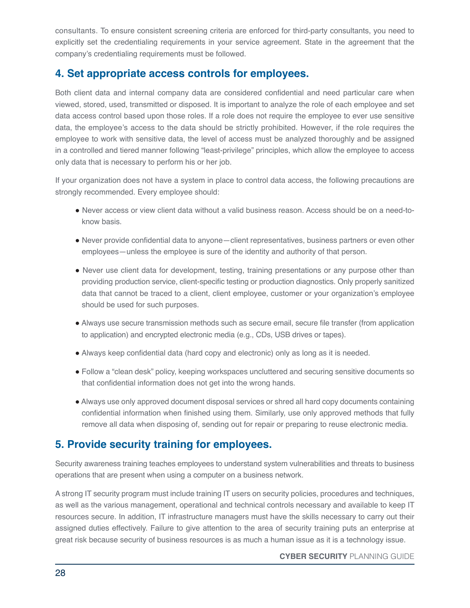consultants. To ensure consistent screening criteria are enforced for third-party consultants, you need to explicitly set the credentialing requirements in your service agreement. State in the agreement that the company's credentialing requirements must be followed.

### **4. Set appropriate access controls for employees.**

Both client data and internal company data are considered confidential and need particular care when viewed, stored, used, transmitted or disposed. It is important to analyze the role of each employee and set data access control based upon those roles. If a role does not require the employee to ever use sensitive data, the employee's access to the data should be strictly prohibited. However, if the role requires the employee to work with sensitive data, the level of access must be analyzed thoroughly and be assigned in a controlled and tiered manner following "least-privilege" principles, which allow the employee to access only data that is necessary to perform his or her job.

If your organization does not have a system in place to control data access, the following precautions are strongly recommended. Every employee should:

- Never access or view client data without a valid business reason. Access should be on a need-toknow basis.
- Never provide confidential data to anyone—client representatives, business partners or even other employees—unless the employee is sure of the identity and authority of that person.
- Never use client data for development, testing, training presentations or any purpose other than providing production service, client-specific testing or production diagnostics. Only properly sanitized data that cannot be traced to a client, client employee, customer or your organization's employee should be used for such purposes.
- Always use secure transmission methods such as secure email, secure file transfer (from application to application) and encrypted electronic media (e.g., CDs, USB drives or tapes).
- Always keep confidential data (hard copy and electronic) only as long as it is needed.
- Follow a "clean desk" policy, keeping workspaces uncluttered and securing sensitive documents so that confidential information does not get into the wrong hands.
- Always use only approved document disposal services or shred all hard copy documents containing confidential information when finished using them. Similarly, use only approved methods that fully remove all data when disposing of, sending out for repair or preparing to reuse electronic media.

# **5. Provide security training for employees.**

Security awareness training teaches employees to understand system vulnerabilities and threats to business operations that are present when using a computer on a business network.

A strong IT security program must include training IT users on security policies, procedures and techniques, as well as the various management, operational and technical controls necessary and available to keep IT resources secure. In addition, IT infrastructure managers must have the skills necessary to carry out their assigned duties effectively. Failure to give attention to the area of security training puts an enterprise at great risk because security of business resources is as much a human issue as it is a technology issue.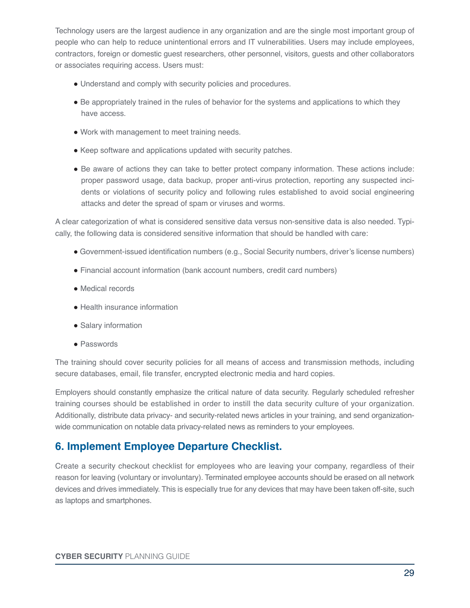Technology users are the largest audience in any organization and are the single most important group of people who can help to reduce unintentional errors and IT vulnerabilities. Users may include employees, contractors, foreign or domestic guest researchers, other personnel, visitors, guests and other collaborators or associates requiring access. Users must:

- Understand and comply with security policies and procedures.
- Be appropriately trained in the rules of behavior for the systems and applications to which they have access.
- Work with management to meet training needs.
- Keep software and applications updated with security patches.
- Be aware of actions they can take to better protect company information. These actions include: proper password usage, data backup, proper anti-virus protection, reporting any suspected incidents or violations of security policy and following rules established to avoid social engineering attacks and deter the spread of spam or viruses and worms.

A clear categorization of what is considered sensitive data versus non-sensitive data is also needed. Typically, the following data is considered sensitive information that should be handled with care:

- Government-issued identification numbers (e.g., Social Security numbers, driver's license numbers)
- Financial account information (bank account numbers, credit card numbers)
- Medical records
- Health insurance information
- Salary information
- Passwords

The training should cover security policies for all means of access and transmission methods, including secure databases, email, file transfer, encrypted electronic media and hard copies.

Employers should constantly emphasize the critical nature of data security. Regularly scheduled refresher training courses should be established in order to instill the data security culture of your organization. Additionally, distribute data privacy- and security-related news articles in your training, and send organizationwide communication on notable data privacy-related news as reminders to your employees.

# **6. Implement Employee Departure Checklist.**

Create a security checkout checklist for employees who are leaving your company, regardless of their reason for leaving (voluntary or involuntary). Terminated employee accounts should be erased on all network devices and drives immediately. This is especially true for any devices that may have been taken off-site, such as laptops and smartphones.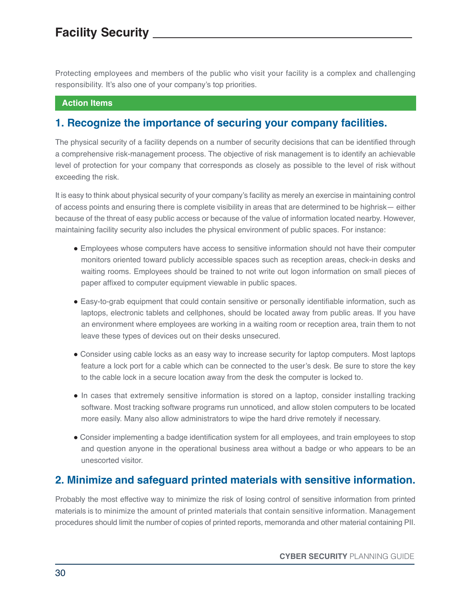Protecting employees and members of the public who visit your facility is a complex and challenging responsibility. It's also one of your company's top priorities.

### **Action Items**

### **1. Recognize the importance of securing your company facilities.**

The physical security of a facility depends on a number of security decisions that can be identified through a comprehensive risk-management process. The objective of risk management is to identify an achievable level of protection for your company that corresponds as closely as possible to the level of risk without exceeding the risk.

It is easy to think about physical security of your company's facility as merely an exercise in maintaining control of access points and ensuring there is complete visibility in areas that are determined to be highrisk— either because of the threat of easy public access or because of the value of information located nearby. However, maintaining facility security also includes the physical environment of public spaces. For instance:

- Employees whose computers have access to sensitive information should not have their computer monitors oriented toward publicly accessible spaces such as reception areas, check-in desks and waiting rooms. Employees should be trained to not write out logon information on small pieces of paper affixed to computer equipment viewable in public spaces.
- Easy-to-grab equipment that could contain sensitive or personally identifiable information, such as laptops, electronic tablets and cellphones, should be located away from public areas. If you have an environment where employees are working in a waiting room or reception area, train them to not leave these types of devices out on their desks unsecured.
- Consider using cable locks as an easy way to increase security for laptop computers. Most laptops feature a lock port for a cable which can be connected to the user's desk. Be sure to store the key to the cable lock in a secure location away from the desk the computer is locked to.
- In cases that extremely sensitive information is stored on a laptop, consider installing tracking software. Most tracking software programs run unnoticed, and allow stolen computers to be located more easily. Many also allow administrators to wipe the hard drive remotely if necessary.
- Consider implementing a badge identification system for all employees, and train employees to stop and question anyone in the operational business area without a badge or who appears to be an unescorted visitor.

# **2. Minimize and safeguard printed materials with sensitive information.**

Probably the most effective way to minimize the risk of losing control of sensitive information from printed materials is to minimize the amount of printed materials that contain sensitive information. Management procedures should limit the number of copies of printed reports, memoranda and other material containing PII.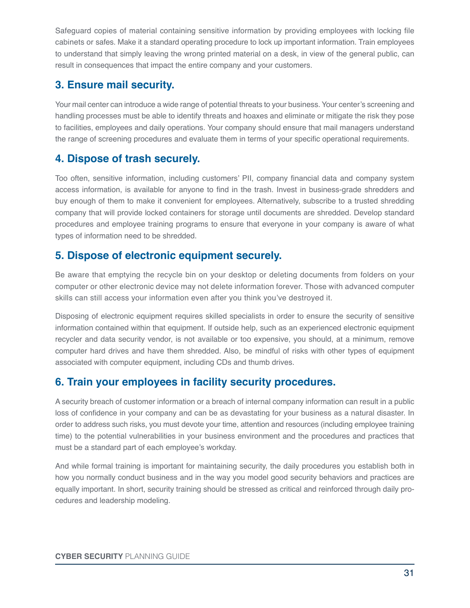Safeguard copies of material containing sensitive information by providing employees with locking file cabinets or safes. Make it a standard operating procedure to lock up important information. Train employees to understand that simply leaving the wrong printed material on a desk, in view of the general public, can result in consequences that impact the entire company and your customers.

## **3. Ensure mail security.**

Your mail center can introduce a wide range of potential threats to your business. Your center's screening and handling processes must be able to identify threats and hoaxes and eliminate or mitigate the risk they pose to facilities, employees and daily operations. Your company should ensure that mail managers understand the range of screening procedures and evaluate them in terms of your specific operational requirements.

### **4. Dispose of trash securely.**

Too often, sensitive information, including customers' PII, company financial data and company system access information, is available for anyone to find in the trash. Invest in business-grade shredders and buy enough of them to make it convenient for employees. Alternatively, subscribe to a trusted shredding company that will provide locked containers for storage until documents are shredded. Develop standard procedures and employee training programs to ensure that everyone in your company is aware of what types of information need to be shredded.

### **5. Dispose of electronic equipment securely.**

Be aware that emptying the recycle bin on your desktop or deleting documents from folders on your computer or other electronic device may not delete information forever. Those with advanced computer skills can still access your information even after you think you've destroyed it.

Disposing of electronic equipment requires skilled specialists in order to ensure the security of sensitive information contained within that equipment. If outside help, such as an experienced electronic equipment recycler and data security vendor, is not available or too expensive, you should, at a minimum, remove computer hard drives and have them shredded. Also, be mindful of risks with other types of equipment associated with computer equipment, including CDs and thumb drives.

# **6. Train your employees in facility security procedures.**

A security breach of customer information or a breach of internal company information can result in a public loss of confidence in your company and can be as devastating for your business as a natural disaster. In order to address such risks, you must devote your time, attention and resources (including employee training time) to the potential vulnerabilities in your business environment and the procedures and practices that must be a standard part of each employee's workday.

And while formal training is important for maintaining security, the daily procedures you establish both in how you normally conduct business and in the way you model good security behaviors and practices are equally important. In short, security training should be stressed as critical and reinforced through daily procedures and leadership modeling.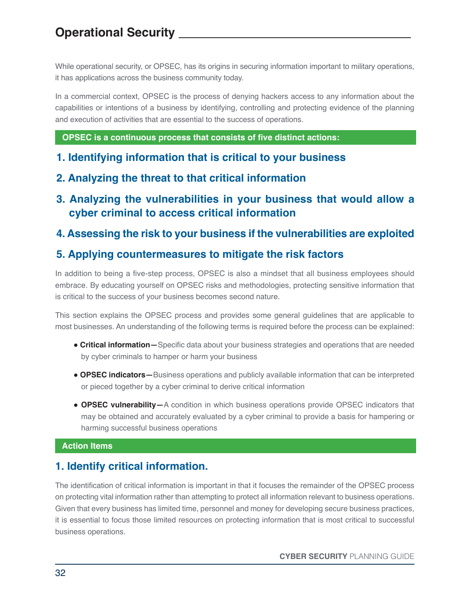While operational security, or OPSEC, has its origins in securing information important to military operations, it has applications across the business community today.

In a commercial context, OPSEC is the process of denying hackers access to any information about the capabilities or intentions of a business by identifying, controlling and protecting evidence of the planning and execution of activities that are essential to the success of operations.

 **OPSEC is a continuous process that consists of five distinct actions:**

- **1. Identifying information that is critical to your business**
- **2. Analyzing the threat to that critical information**
- **3. Analyzing the vulnerabilities in your business that would allow a cyber criminal to access critical information**
- **4. Assessing the risk to your business if the vulnerabilities are exploited**

# **5. Applying countermeasures to mitigate the risk factors**

In addition to being a five-step process, OPSEC is also a mindset that all business employees should embrace. By educating yourself on OPSEC risks and methodologies, protecting sensitive information that is critical to the success of your business becomes second nature.

This section explains the OPSEC process and provides some general guidelines that are applicable to most businesses. An understanding of the following terms is required before the process can be explained:

- **Critical information—**Specific data about your business strategies and operations that are needed by cyber criminals to hamper or harm your business
- **OPSEC indicators—**Business operations and publicly available information that can be interpreted or pieced together by a cyber criminal to derive critical information
- **OPSEC vulnerability—**A condition in which business operations provide OPSEC indicators that may be obtained and accurately evaluated by a cyber criminal to provide a basis for hampering or harming successful business operations

### **Action Items**

# **1. Identify critical information.**

The identification of critical information is important in that it focuses the remainder of the OPSEC process on protecting vital information rather than attempting to protect all information relevant to business operations. Given that every business has limited time, personnel and money for developing secure business practices, it is essential to focus those limited resources on protecting information that is most critical to successful business operations.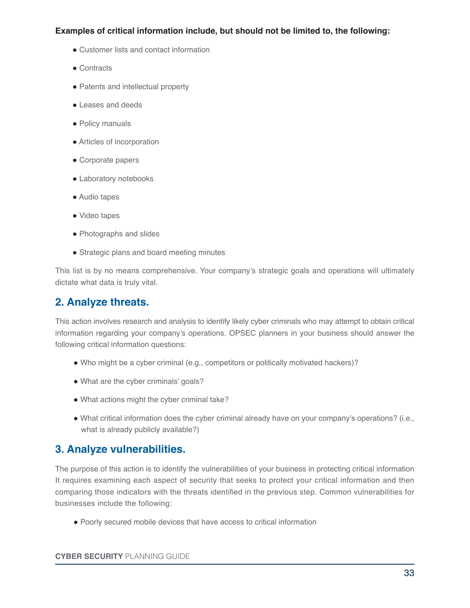#### **Examples of critical information include, but should not be limited to, the following:**

- Customer lists and contact information
- Contracts
- Patents and intellectual property
- Leases and deeds
- Policy manuals
- Articles of incorporation
- Corporate papers
- Laboratory notebooks
- Audio tapes
- Video tapes
- Photographs and slides
- Strategic plans and board meeting minutes

This list is by no means comprehensive. Your company's strategic goals and operations will ultimately dictate what data is truly vital.

# **2. Analyze threats.**

This action involves research and analysis to identify likely cyber criminals who may attempt to obtain critical information regarding your company's operations. OPSEC planners in your business should answer the following critical information questions:

- Who might be a cyber criminal (e.g., competitors or politically motivated hackers)?
- What are the cyber criminals' goals?
- What actions might the cyber criminal take?
- What critical information does the cyber criminal already have on your company's operations? (i.e., what is already publicly available?)

# **3. Analyze vulnerabilities.**

The purpose of this action is to identify the vulnerabilities of your business in protecting critical information It requires examining each aspect of security that seeks to protect your critical information and then comparing those indicators with the threats identified in the previous step. Common vulnerabilities for businesses include the following:

● Poorly secured mobile devices that have access to critical information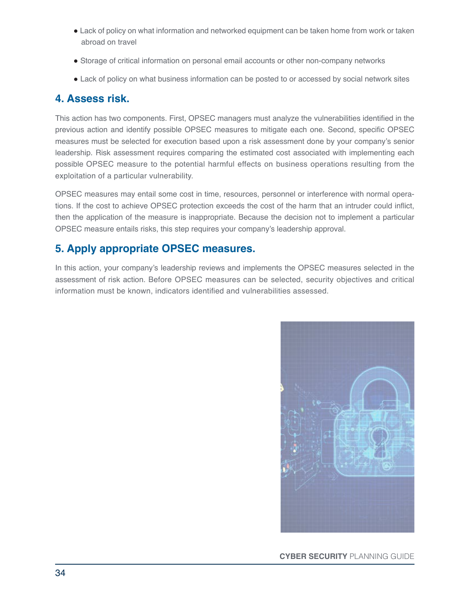- Lack of policy on what information and networked equipment can be taken home from work or taken abroad on travel
- Storage of critical information on personal email accounts or other non-company networks
- Lack of policy on what business information can be posted to or accessed by social network sites

### **4. Assess risk.**

This action has two components. First, OPSEC managers must analyze the vulnerabilities identified in the previous action and identify possible OPSEC measures to mitigate each one. Second, specific OPSEC measures must be selected for execution based upon a risk assessment done by your company's senior leadership. Risk assessment requires comparing the estimated cost associated with implementing each possible OPSEC measure to the potential harmful effects on business operations resulting from the exploitation of a particular vulnerability.

OPSEC measures may entail some cost in time, resources, personnel or interference with normal operations. If the cost to achieve OPSEC protection exceeds the cost of the harm that an intruder could inflict, then the application of the measure is inappropriate. Because the decision not to implement a particular OPSEC measure entails risks, this step requires your company's leadership approval.

### **5. Apply appropriate OPSEC measures.**

In this action, your company's leadership reviews and implements the OPSEC measures selected in the assessment of risk action. Before OPSEC measures can be selected, security objectives and critical information must be known, indicators identified and vulnerabilities assessed.

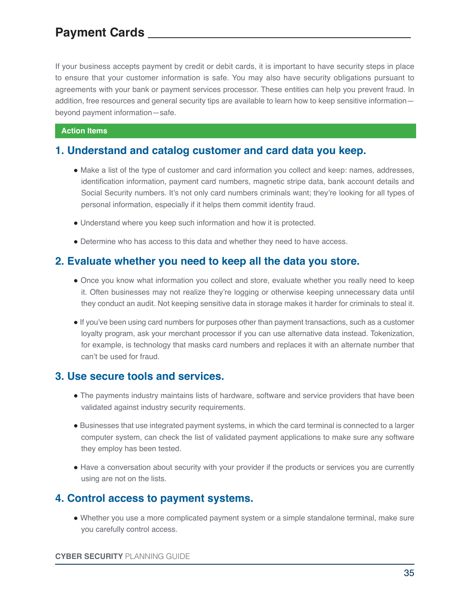# **Payment Cards**

If your business accepts payment by credit or debit cards, it is important to have security steps in place to ensure that your customer information is safe. You may also have security obligations pursuant to agreements with your bank or payment services processor. These entities can help you prevent fraud. In addition, free resources and general security tips are available to learn how to keep sensitive information beyond payment information—safe.

#### **Action Items**

### **1. Understand and catalog customer and card data you keep.**

- Make a list of the type of customer and card information you collect and keep: names, addresses, identification information, payment card numbers, magnetic stripe data, bank account details and Social Security numbers. It's not only card numbers criminals want; they're looking for all types of personal information, especially if it helps them commit identity fraud.
- Understand where you keep such information and how it is protected.
- Determine who has access to this data and whether they need to have access.

### **2. Evaluate whether you need to keep all the data you store.**

- Once you know what information you collect and store, evaluate whether you really need to keep it. Often businesses may not realize they're logging or otherwise keeping unnecessary data until they conduct an audit. Not keeping sensitive data in storage makes it harder for criminals to steal it.
- If you've been using card numbers for purposes other than payment transactions, such as a customer loyalty program, ask your merchant processor if you can use alternative data instead. Tokenization, for example, is technology that masks card numbers and replaces it with an alternate number that can't be used for fraud.

### **3. Use secure tools and services.**

- The payments industry maintains lists of hardware, software and service providers that have been validated against industry security requirements.
- Businesses that use integrated payment systems, in which the card terminal is connected to a larger computer system, can check the list of validated payment applications to make sure any software they employ has been tested.
- Have a conversation about security with your provider if the products or services you are currently using are not on the lists.

### **4. Control access to payment systems.**

● Whether you use a more complicated payment system or a simple standalone terminal, make sure you carefully control access.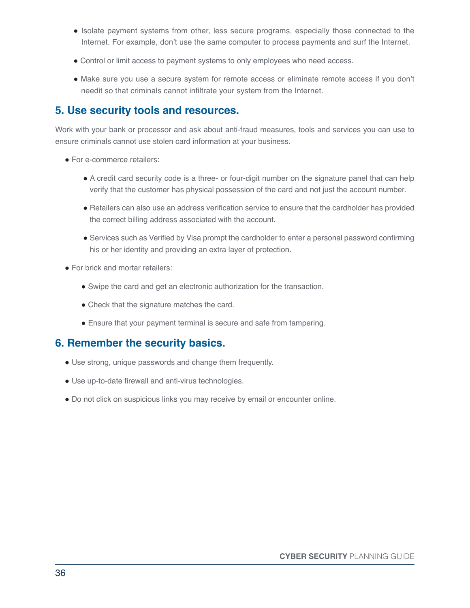- Isolate payment systems from other, less secure programs, especially those connected to the Internet. For example, don't use the same computer to process payments and surf the Internet.
- Control or limit access to payment systems to only employees who need access.
- Make sure you use a secure system for remote access or eliminate remote access if you don't needit so that criminals cannot infiltrate your system from the Internet.

### **5. Use security tools and resources.**

Work with your bank or processor and ask about anti-fraud measures, tools and services you can use to ensure criminals cannot use stolen card information at your business.

- For e-commerce retailers:
	- A credit card security code is a three- or four-digit number on the signature panel that can help verify that the customer has physical possession of the card and not just the account number.
	- Retailers can also use an address verification service to ensure that the cardholder has provided the correct billing address associated with the account.
	- Services such as Verified by Visa prompt the cardholder to enter a personal password confirming his or her identity and providing an extra layer of protection.
- For brick and mortar retailers:
	- Swipe the card and get an electronic authorization for the transaction.
	- Check that the signature matches the card.
	- Ensure that your payment terminal is secure and safe from tampering.

### **6. Remember the security basics.**

- Use strong, unique passwords and change them frequently.
- Use up-to-date firewall and anti-virus technologies.
- Do not click on suspicious links you may receive by email or encounter online.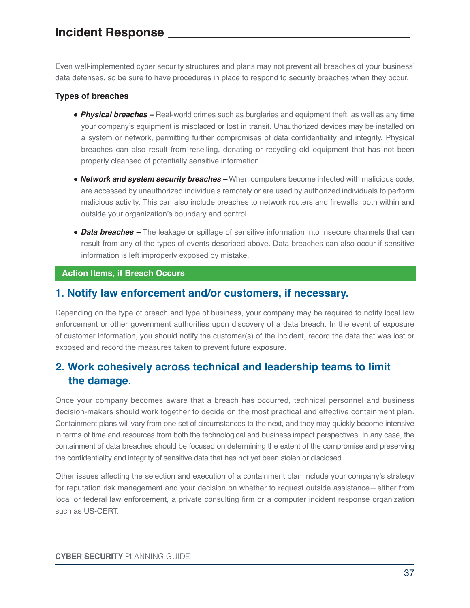Even well-implemented cyber security structures and plans may not prevent all breaches of your business' data defenses, so be sure to have procedures in place to respond to security breaches when they occur.

#### **Types of breaches**

- *Physical breaches* Real-world crimes such as burglaries and equipment theft, as well as any time your company's equipment is misplaced or lost in transit. Unauthorized devices may be installed on a system or network, permitting further compromises of data confidentiality and integrity. Physical breaches can also result from reselling, donating or recycling old equipment that has not been properly cleansed of potentially sensitive information.
- *Network and system security breaches* When computers become infected with malicious code, are accessed by unauthorized individuals remotely or are used by authorized individuals to perform malicious activity. This can also include breaches to network routers and firewalls, both within and outside your organization's boundary and control.
- *Data breaches* The leakage or spillage of sensitive information into insecure channels that can result from any of the types of events described above. Data breaches can also occur if sensitive information is left improperly exposed by mistake.

#### **Action Items, if Breach Occurs**

### **1. Notify law enforcement and/or customers, if necessary.**

Depending on the type of breach and type of business, your company may be required to notify local law enforcement or other government authorities upon discovery of a data breach. In the event of exposure of customer information, you should notify the customer(s) of the incident, record the data that was lost or exposed and record the measures taken to prevent future exposure.

# **2. Work cohesively across technical and leadership teams to limit the damage.**

Once your company becomes aware that a breach has occurred, technical personnel and business decision-makers should work together to decide on the most practical and effective containment plan. Containment plans will vary from one set of circumstances to the next, and they may quickly become intensive in terms of time and resources from both the technological and business impact perspectives. In any case, the containment of data breaches should be focused on determining the extent of the compromise and preserving the confidentiality and integrity of sensitive data that has not yet been stolen or disclosed.

Other issues affecting the selection and execution of a containment plan include your company's strategy for reputation risk management and your decision on whether to request outside assistance—either from local or federal law enforcement, a private consulting firm or a computer incident response organization such as US-CERT.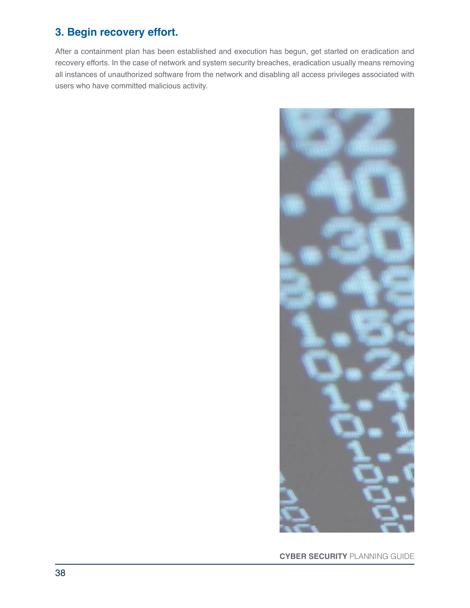# **3. Begin recovery effort.**

After a containment plan has been established and execution has begun, get started on eradication and recovery efforts. In the case of network and system security breaches, eradication usually means removing all instances of unauthorized software from the network and disabling all access privileges associated with users who have committed malicious activity.

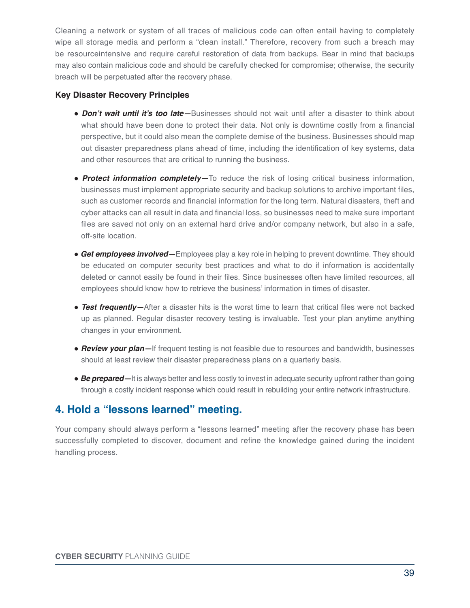Cleaning a network or system of all traces of malicious code can often entail having to completely wipe all storage media and perform a "clean install." Therefore, recovery from such a breach may be resourceintensive and require careful restoration of data from backups. Bear in mind that backups may also contain malicious code and should be carefully checked for compromise; otherwise, the security breach will be perpetuated after the recovery phase.

#### **Key Disaster Recovery Principles**

- **Don't wait until it's too late—**Businesses should not wait until after a disaster to think about what should have been done to protect their data. Not only is downtime costly from a financial perspective, but it could also mean the complete demise of the business. Businesses should map out disaster preparedness plans ahead of time, including the identification of key systems, data and other resources that are critical to running the business.
- **Protect information completely**—To reduce the risk of losing critical business information, businesses must implement appropriate security and backup solutions to archive important files, such as customer records and financial information for the long term. Natural disasters, theft and cyber attacks can all result in data and financial loss, so businesses need to make sure important files are saved not only on an external hard drive and/or company network, but also in a safe, off-site location.
- **Get employees involved**—Employees play a key role in helping to prevent downtime. They should be educated on computer security best practices and what to do if information is accidentally deleted or cannot easily be found in their files. Since businesses often have limited resources, all employees should know how to retrieve the business' information in times of disaster.
- **Test frequently**—After a disaster hits is the worst time to learn that critical files were not backed up as planned. Regular disaster recovery testing is invaluable. Test your plan anytime anything changes in your environment.
- **Review your plan**—If frequent testing is not feasible due to resources and bandwidth, businesses should at least review their disaster preparedness plans on a quarterly basis.
- **Be prepared—**It is always better and less costly to invest in adequate security upfront rather than going through a costly incident response which could result in rebuilding your entire network infrastructure.

# **4. Hold a "lessons learned" meeting.**

Your company should always perform a "lessons learned" meeting after the recovery phase has been successfully completed to discover, document and refine the knowledge gained during the incident handling process.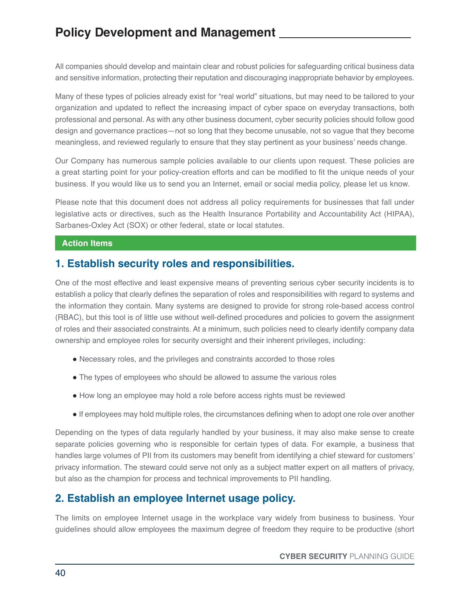All companies should develop and maintain clear and robust policies for safeguarding critical business data and sensitive information, protecting their reputation and discouraging inappropriate behavior by employees.

Many of these types of policies already exist for "real world" situations, but may need to be tailored to your organization and updated to reflect the increasing impact of cyber space on everyday transactions, both professional and personal. As with any other business document, cyber security policies should follow good design and governance practices—not so long that they become unusable, not so vague that they become meaningless, and reviewed regularly to ensure that they stay pertinent as your business' needs change.

Our Company has numerous sample policies available to our clients upon request. These policies are a great starting point for your policy-creation efforts and can be modified to fit the unique needs of your business. If you would like us to send you an Internet, email or social media policy, please let us know.

Please note that this document does not address all policy requirements for businesses that fall under legislative acts or directives, such as the Health Insurance Portability and Accountability Act (HIPAA), Sarbanes-Oxley Act (SOX) or other federal, state or local statutes.

#### **Action Items**

### **1. Establish security roles and responsibilities.**

One of the most effective and least expensive means of preventing serious cyber security incidents is to establish a policy that clearly defines the separation of roles and responsibilities with regard to systems and the information they contain. Many systems are designed to provide for strong role-based access control (RBAC), but this tool is of little use without well-defined procedures and policies to govern the assignment of roles and their associated constraints. At a minimum, such policies need to clearly identify company data ownership and employee roles for security oversight and their inherent privileges, including:

- Necessary roles, and the privileges and constraints accorded to those roles
- The types of employees who should be allowed to assume the various roles
- How long an employee may hold a role before access rights must be reviewed
- If employees may hold multiple roles, the circumstances defining when to adopt one role over another

Depending on the types of data regularly handled by your business, it may also make sense to create separate policies governing who is responsible for certain types of data. For example, a business that handles large volumes of PII from its customers may benefit from identifying a chief steward for customers' privacy information. The steward could serve not only as a subject matter expert on all matters of privacy, but also as the champion for process and technical improvements to PII handling.

### **2. Establish an employee Internet usage policy.**

The limits on employee Internet usage in the workplace vary widely from business to business. Your guidelines should allow employees the maximum degree of freedom they require to be productive (short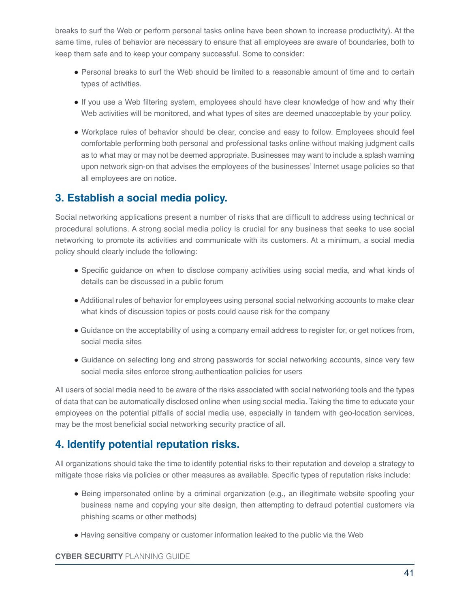breaks to surf the Web or perform personal tasks online have been shown to increase productivity). At the same time, rules of behavior are necessary to ensure that all employees are aware of boundaries, both to keep them safe and to keep your company successful. Some to consider:

- Personal breaks to surf the Web should be limited to a reasonable amount of time and to certain types of activities.
- If you use a Web filtering system, employees should have clear knowledge of how and why their Web activities will be monitored, and what types of sites are deemed unacceptable by your policy.
- Workplace rules of behavior should be clear, concise and easy to follow. Employees should feel comfortable performing both personal and professional tasks online without making judgment calls as to what may or may not be deemed appropriate. Businesses may want to include a splash warning upon network sign-on that advises the employees of the businesses' Internet usage policies so that all employees are on notice.

# **3. Establish a social media policy.**

Social networking applications present a number of risks that are difficult to address using technical or procedural solutions. A strong social media policy is crucial for any business that seeks to use social networking to promote its activities and communicate with its customers. At a minimum, a social media policy should clearly include the following:

- Specific guidance on when to disclose company activities using social media, and what kinds of details can be discussed in a public forum
- Additional rules of behavior for employees using personal social networking accounts to make clear what kinds of discussion topics or posts could cause risk for the company
- Guidance on the acceptability of using a company email address to register for, or get notices from, social media sites
- Guidance on selecting long and strong passwords for social networking accounts, since very few social media sites enforce strong authentication policies for users

All users of social media need to be aware of the risks associated with social networking tools and the types of data that can be automatically disclosed online when using social media. Taking the time to educate your employees on the potential pitfalls of social media use, especially in tandem with geo-location services, may be the most beneficial social networking security practice of all.

# **4. Identify potential reputation risks.**

All organizations should take the time to identify potential risks to their reputation and develop a strategy to mitigate those risks via policies or other measures as available. Specific types of reputation risks include:

- Being impersonated online by a criminal organization (e.g., an illegitimate website spoofing your business name and copying your site design, then attempting to defraud potential customers via phishing scams or other methods)
- Having sensitive company or customer information leaked to the public via the Web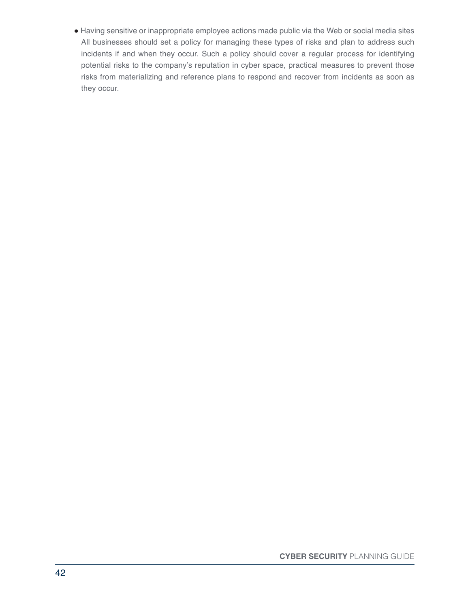● Having sensitive or inappropriate employee actions made public via the Web or social media sites All businesses should set a policy for managing these types of risks and plan to address such incidents if and when they occur. Such a policy should cover a regular process for identifying potential risks to the company's reputation in cyber space, practical measures to prevent those risks from materializing and reference plans to respond and recover from incidents as soon as they occur.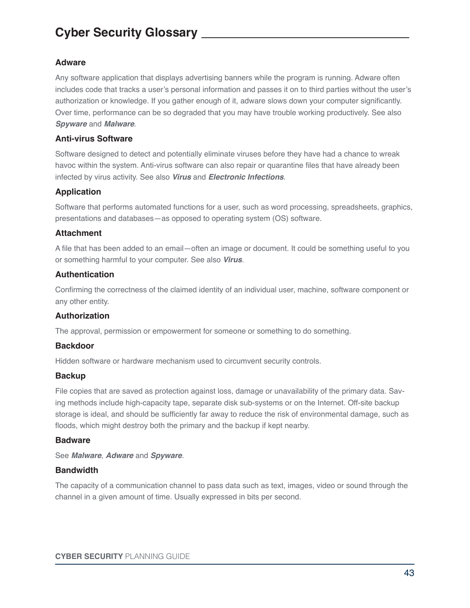# **Cyber Security Glossary**

#### **Adware**

Any software application that displays advertising banners while the program is running. Adware often includes code that tracks a user's personal information and passes it on to third parties without the user's authorization or knowledge. If you gather enough of it, adware slows down your computer significantly. Over time, performance can be so degraded that you may have trouble working productively. See also *Spyware* and *Malware*.

#### **Anti-virus Software**

Software designed to detect and potentially eliminate viruses before they have had a chance to wreak havoc within the system. Anti-virus software can also repair or quarantine files that have already been infected by virus activity. See also *Virus* and *Electronic Infections*.

#### **Application**

Software that performs automated functions for a user, such as word processing, spreadsheets, graphics, presentations and databases—as opposed to operating system (OS) software.

#### **Attachment**

A file that has been added to an email—often an image or document. It could be something useful to you or something harmful to your computer. See also *Virus*.

#### **Authentication**

Confirming the correctness of the claimed identity of an individual user, machine, software component or any other entity.

#### **Authorization**

The approval, permission or empowerment for someone or something to do something.

#### **Backdoor**

Hidden software or hardware mechanism used to circumvent security controls.

#### **Backup**

File copies that are saved as protection against loss, damage or unavailability of the primary data. Saving methods include high-capacity tape, separate disk sub-systems or on the Internet. Off-site backup storage is ideal, and should be sufficiently far away to reduce the risk of environmental damage, such as floods, which might destroy both the primary and the backup if kept nearby.

#### **Badware**

See *Malware*, *Adware* and *Spyware*.

#### **Bandwidth**

The capacity of a communication channel to pass data such as text, images, video or sound through the channel in a given amount of time. Usually expressed in bits per second.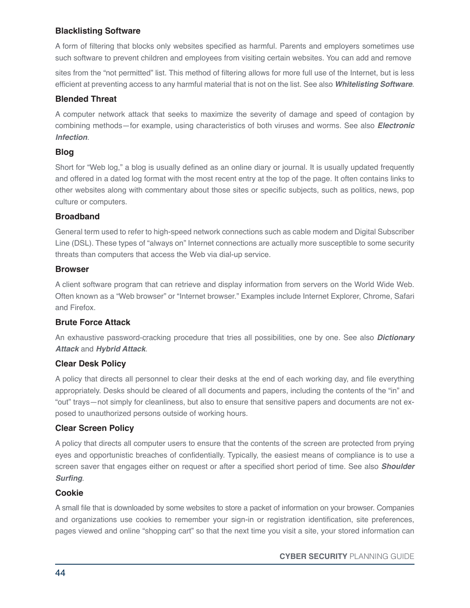#### **Blacklisting Software**

A form of filtering that blocks only websites specified as harmful. Parents and employers sometimes use such software to prevent children and employees from visiting certain websites. You can add and remove

sites from the "not permitted" list. This method of filtering allows for more full use of the Internet, but is less efficient at preventing access to any harmful material that is not on the list. See also *Whitelisting Software*.

#### **Blended Threat**

A computer network attack that seeks to maximize the severity of damage and speed of contagion by combining methods—for example, using characteristics of both viruses and worms. See also *Electronic Infection*.

#### **Blog**

Short for "Web log," a blog is usually defined as an online diary or journal. It is usually updated frequently and offered in a dated log format with the most recent entry at the top of the page. It often contains links to other websites along with commentary about those sites or specific subjects, such as politics, news, pop culture or computers.

#### **Broadband**

General term used to refer to high-speed network connections such as cable modem and Digital Subscriber Line (DSL). These types of "always on" Internet connections are actually more susceptible to some security threats than computers that access the Web via dial-up service.

#### **Browser**

A client software program that can retrieve and display information from servers on the World Wide Web. Often known as a "Web browser" or "Internet browser." Examples include Internet Explorer, Chrome, Safari and Firefox.

#### **Brute Force Attack**

An exhaustive password-cracking procedure that tries all possibilities, one by one. See also *Dictionary Attack* and *Hybrid Attack*.

#### **Clear Desk Policy**

A policy that directs all personnel to clear their desks at the end of each working day, and file everything appropriately. Desks should be cleared of all documents and papers, including the contents of the "in" and "out" trays—not simply for cleanliness, but also to ensure that sensitive papers and documents are not exposed to unauthorized persons outside of working hours.

#### **Clear Screen Policy**

A policy that directs all computer users to ensure that the contents of the screen are protected from prying eyes and opportunistic breaches of confidentially. Typically, the easiest means of compliance is to use a screen saver that engages either on request or after a specified short period of time. See also *Shoulder*  **Surfing**.

#### **Cookie**

A small file that is downloaded by some websites to store a packet of information on your browser. Companies and organizations use cookies to remember your sign-in or registration identification, site preferences, pages viewed and online "shopping cart" so that the next time you visit a site, your stored information can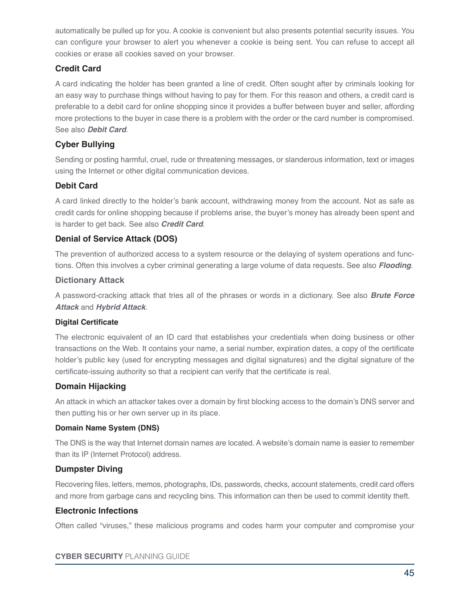automatically be pulled up for you. A cookie is convenient but also presents potential security issues. You can configure your browser to alert you whenever a cookie is being sent. You can refuse to accept all cookies or erase all cookies saved on your browser.

### **Credit Card**

A card indicating the holder has been granted a line of credit. Often sought after by criminals looking for an easy way to purchase things without having to pay for them. For this reason and others, a credit card is preferable to a debit card for online shopping since it provides a buffer between buyer and seller, affording more protections to the buyer in case there is a problem with the order or the card number is compromised. See also *Debit Card*.

### **Cyber Bullying**

Sending or posting harmful, cruel, rude or threatening messages, or slanderous information, text or images using the Internet or other digital communication devices.

### **Debit Card**

A card linked directly to the holder's bank account, withdrawing money from the account. Not as safe as credit cards for online shopping because if problems arise, the buyer's money has already been spent and is harder to get back. See also *Credit Card*.

### **Denial of Service Attack (DOS)**

The prevention of authorized access to a system resource or the delaying of system operations and functions. Often this involves a cyber criminal generating a large volume of data requests. See also *Flooding*.

#### **Dictionary Attack**

A password-cracking attack that tries all of the phrases or words in a dictionary. See also *Brute Force Attack* and *Hybrid Attack*.

#### **Digital Certificate**

The electronic equivalent of an ID card that establishes your credentials when doing business or other transactions on the Web. It contains your name, a serial number, expiration dates, a copy of the certificate holder's public key (used for encrypting messages and digital signatures) and the digital signature of the certificate-issuing authority so that a recipient can verify that the certificate is real.

### **Domain Hijacking**

An attack in which an attacker takes over a domain by first blocking access to the domain's DNS server and then putting his or her own server up in its place.

#### **Domain Name System (DNS)**

The DNS is the way that Internet domain names are located. A website's domain name is easier to remember than its IP (Internet Protocol) address.

### **Dumpster Diving**

Recovering files, letters, memos, photographs, IDs, passwords, checks, account statements, credit card offers and more from garbage cans and recycling bins. This information can then be used to commit identity theft.

#### **Electronic Infections**

Often called "viruses," these malicious programs and codes harm your computer and compromise your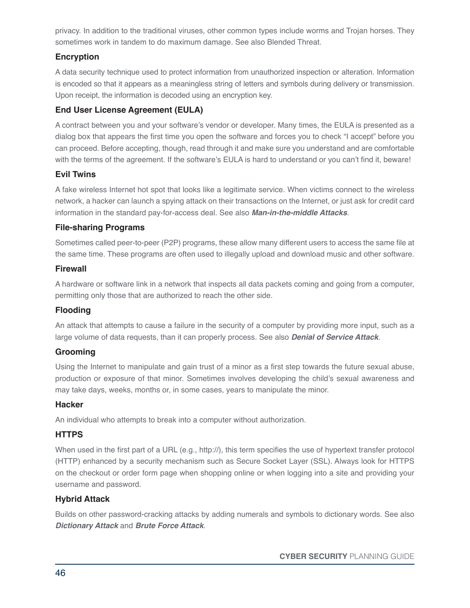privacy. In addition to the traditional viruses, other common types include worms and Trojan horses. They sometimes work in tandem to do maximum damage. See also Blended Threat.

### **Encryption**

A data security technique used to protect information from unauthorized inspection or alteration. Information is encoded so that it appears as a meaningless string of letters and symbols during delivery or transmission. Upon receipt, the information is decoded using an encryption key.

### **End User License Agreement (EULA)**

A contract between you and your software's vendor or developer. Many times, the EULA is presented as a dialog box that appears the first time you open the software and forces you to check "I accept" before you can proceed. Before accepting, though, read through it and make sure you understand and are comfortable with the terms of the agreement. If the software's EULA is hard to understand or you can't find it, beware!

### **Evil Twins**

A fake wireless Internet hot spot that looks like a legitimate service. When victims connect to the wireless network, a hacker can launch a spying attack on their transactions on the Internet, or just ask for credit card information in the standard pay-for-access deal. See also *Man-in-the-middle Attacks*.

### **File-sharing Programs**

Sometimes called peer-to-peer (P2P) programs, these allow many different users to access the same file at the same time. These programs are often used to illegally upload and download music and other software.

#### **Firewall**

A hardware or software link in a network that inspects all data packets coming and going from a computer, permitting only those that are authorized to reach the other side.

### **Flooding**

An attack that attempts to cause a failure in the security of a computer by providing more input, such as a large volume of data requests, than it can properly process. See also *Denial of Service Attack*.

### **Grooming**

Using the Internet to manipulate and gain trust of a minor as a first step towards the future sexual abuse, production or exposure of that minor. Sometimes involves developing the child's sexual awareness and may take days, weeks, months or, in some cases, years to manipulate the minor.

#### **Hacker**

An individual who attempts to break into a computer without authorization.

### **HTTPS**

When used in the first part of a URL (e.g., http://), this term specifies the use of hypertext transfer protocol (HTTP) enhanced by a security mechanism such as Secure Socket Layer (SSL). Always look for HTTPS on the checkout or order form page when shopping online or when logging into a site and providing your username and password.

### **Hybrid Attack**

Builds on other password-cracking attacks by adding numerals and symbols to dictionary words. See also *Dictionary Attack* and *Brute Force Attack*.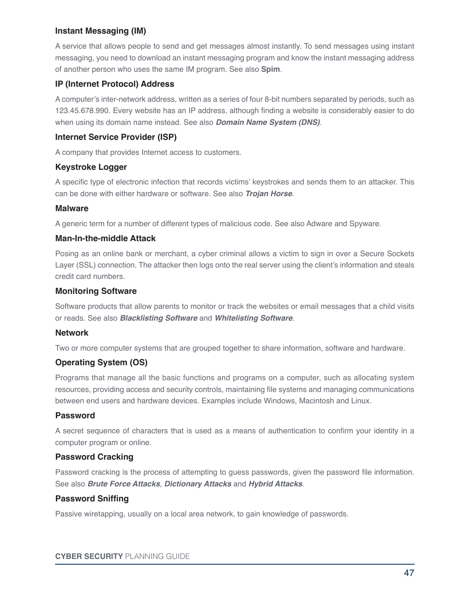#### **Instant Messaging (IM)**

A service that allows people to send and get messages almost instantly. To send messages using instant messaging, you need to download an instant messaging program and know the instant messaging address of another person who uses the same IM program. See also **Spim**.

#### **IP (Internet Protocol) Address**

A computer's inter-network address, written as a series of four 8-bit numbers separated by periods, such as 123.45.678.990. Every website has an IP address, although finding a website is considerably easier to do when using its domain name instead. See also *Domain Name System (DNS)*.

#### **Internet Service Provider (ISP)**

A company that provides Internet access to customers.

#### **Keystroke Logger**

A specific type of electronic infection that records victims' keystrokes and sends them to an attacker. This can be done with either hardware or software. See also *Trojan Horse*.

#### **Malware**

A generic term for a number of different types of malicious code. See also Adware and Spyware.

#### **Man-In-the-middle Attack**

Posing as an online bank or merchant, a cyber criminal allows a victim to sign in over a Secure Sockets Layer (SSL) connection. The attacker then logs onto the real server using the client's information and steals credit card numbers.

#### **Monitoring Software**

Software products that allow parents to monitor or track the websites or email messages that a child visits or reads. See also *Blacklisting Software* and *Whitelisting Software*.

#### **Network**

Two or more computer systems that are grouped together to share information, software and hardware.

#### **Operating System (OS)**

Programs that manage all the basic functions and programs on a computer, such as allocating system resources, providing access and security controls, maintaining file systems and managing communications between end users and hardware devices. Examples include Windows, Macintosh and Linux.

#### **Password**

A secret sequence of characters that is used as a means of authentication to confirm your identity in a computer program or online.

#### **Password Cracking**

Password cracking is the process of attempting to guess passwords, given the password file information. See also *Brute Force Attacks*, *Dictionary Attacks* and *Hybrid Attacks*.

#### **Password Sniffing**

Passive wiretapping, usually on a local area network, to gain knowledge of passwords.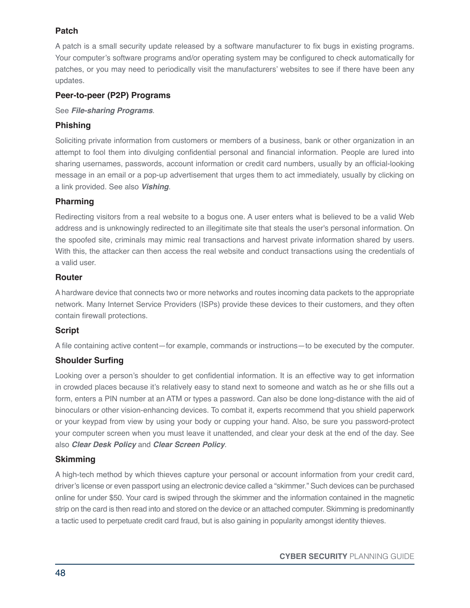### **Patch**

A patch is a small security update released by a software manufacturer to fix bugs in existing programs. Your computer's software programs and/or operating system may be configured to check automatically for patches, or you may need to periodically visit the manufacturers' websites to see if there have been any updates.

#### **Peer-to-peer (P2P) Programs**

See *File-sharing Programs*.

#### **Phishing**

Soliciting private information from customers or members of a business, bank or other organization in an attempt to fool them into divulging confidential personal and financial information. People are lured into sharing usernames, passwords, account information or credit card numbers, usually by an official-looking message in an email or a pop-up advertisement that urges them to act immediately, usually by clicking on a link provided. See also *Vishing*.

#### **Pharming**

Redirecting visitors from a real website to a bogus one. A user enters what is believed to be a valid Web address and is unknowingly redirected to an illegitimate site that steals the user's personal information. On the spoofed site, criminals may mimic real transactions and harvest private information shared by users. With this, the attacker can then access the real website and conduct transactions using the credentials of a valid user.

#### **Router**

A hardware device that connects two or more networks and routes incoming data packets to the appropriate network. Many Internet Service Providers (ISPs) provide these devices to their customers, and they often contain firewall protections.

#### **Script**

A file containing active content—for example, commands or instructions—to be executed by the computer.

### **Shoulder Surfing**

Looking over a person's shoulder to get confidential information. It is an effective way to get information in crowded places because it's relatively easy to stand next to someone and watch as he or she fills out a form, enters a PIN number at an ATM or types a password. Can also be done long-distance with the aid of binoculars or other vision-enhancing devices. To combat it, experts recommend that you shield paperwork or your keypad from view by using your body or cupping your hand. Also, be sure you password-protect your computer screen when you must leave it unattended, and clear your desk at the end of the day. See also *Clear Desk Policy* and *Clear Screen Policy*.

#### **Skimming**

A high-tech method by which thieves capture your personal or account information from your credit card, driver's license or even passport using an electronic device called a "skimmer." Such devices can be purchased online for under \$50. Your card is swiped through the skimmer and the information contained in the magnetic strip on the card is then read into and stored on the device or an attached computer. Skimming is predominantly a tactic used to perpetuate credit card fraud, but is also gaining in popularity amongst identity thieves.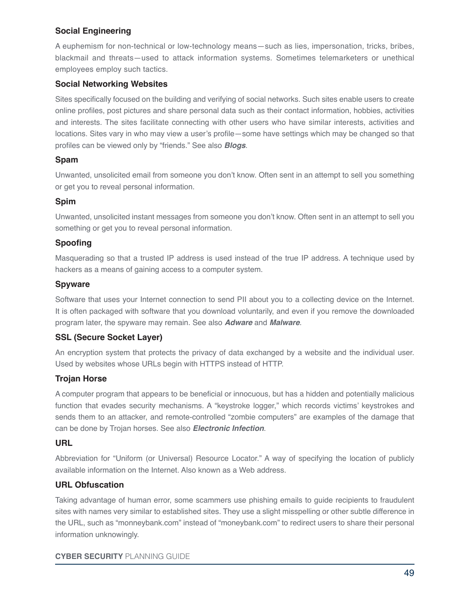### **Social Engineering**

A euphemism for non-technical or low-technology means—such as lies, impersonation, tricks, bribes, blackmail and threats—used to attack information systems. Sometimes telemarketers or unethical employees employ such tactics.

### **Social Networking Websites**

Sites specifically focused on the building and verifying of social networks. Such sites enable users to create online profiles, post pictures and share personal data such as their contact information, hobbies, activities and interests. The sites facilitate connecting with other users who have similar interests, activities and locations. Sites vary in who may view a user's profile—some have settings which may be changed so that profiles can be viewed only by "friends." See also *Blogs*.

### **Spam**

Unwanted, unsolicited email from someone you don't know. Often sent in an attempt to sell you something or get you to reveal personal information.

### **Spim**

Unwanted, unsolicited instant messages from someone you don't know. Often sent in an attempt to sell you something or get you to reveal personal information.

### **Spoofing**

Masquerading so that a trusted IP address is used instead of the true IP address. A technique used by hackers as a means of gaining access to a computer system.

### **Spyware**

Software that uses your Internet connection to send PII about you to a collecting device on the Internet. It is often packaged with software that you download voluntarily, and even if you remove the downloaded program later, the spyware may remain. See also *Adware* and *Malware*.

### **SSL (Secure Socket Layer)**

An encryption system that protects the privacy of data exchanged by a website and the individual user. Used by websites whose URLs begin with HTTPS instead of HTTP.

### **Trojan Horse**

A computer program that appears to be beneficial or innocuous, but has a hidden and potentially malicious function that evades security mechanisms. A "keystroke logger," which records victims' keystrokes and sends them to an attacker, and remote-controlled "zombie computers" are examples of the damage that can be done by Trojan horses. See also *Electronic Infection*.

### **URL**

Abbreviation for "Uniform (or Universal) Resource Locator." A way of specifying the location of publicly available information on the Internet. Also known as a Web address.

### **URL Obfuscation**

Taking advantage of human error, some scammers use phishing emails to guide recipients to fraudulent sites with names very similar to established sites. They use a slight misspelling or other subtle difference in the URL, such as "monneybank.com" instead of "moneybank.com" to redirect users to share their personal information unknowingly.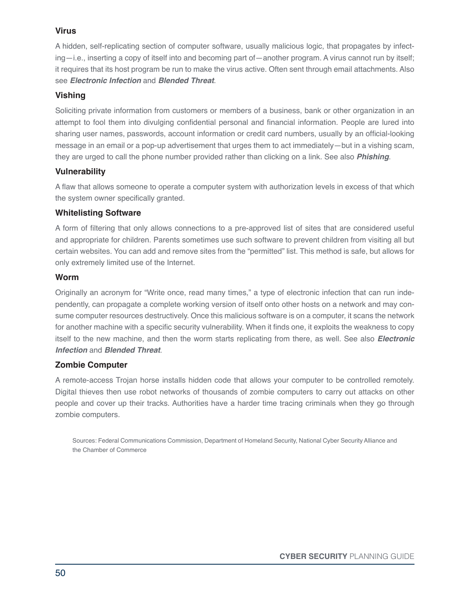### **Virus**

A hidden, self-replicating section of computer software, usually malicious logic, that propagates by infecting—i.e., inserting a copy of itself into and becoming part of—another program. A virus cannot run by itself; it requires that its host program be run to make the virus active. Often sent through email attachments. Also see *Electronic Infection* and *Blended Threat*.

### **Vishing**

Soliciting private information from customers or members of a business, bank or other organization in an attempt to fool them into divulging confidential personal and financial information. People are lured into sharing user names, passwords, account information or credit card numbers, usually by an official-looking message in an email or a pop-up advertisement that urges them to act immediately—but in a vishing scam, they are urged to call the phone number provided rather than clicking on a link. See also *Phishing*.

### **Vulnerability**

A flaw that allows someone to operate a computer system with authorization levels in excess of that which the system owner specifically granted.

### **Whitelisting Software**

A form of filtering that only allows connections to a pre-approved list of sites that are considered useful and appropriate for children. Parents sometimes use such software to prevent children from visiting all but certain websites. You can add and remove sites from the "permitted" list. This method is safe, but allows for only extremely limited use of the Internet.

### **Worm**

Originally an acronym for "Write once, read many times," a type of electronic infection that can run independently, can propagate a complete working version of itself onto other hosts on a network and may consume computer resources destructively. Once this malicious software is on a computer, it scans the network for another machine with a specific security vulnerability. When it finds one, it exploits the weakness to copy itself to the new machine, and then the worm starts replicating from there, as well. See also *Electronic Infection* and *Blended Threat*.

### **Zombie Computer**

A remote-access Trojan horse installs hidden code that allows your computer to be controlled remotely. Digital thieves then use robot networks of thousands of zombie computers to carry out attacks on other people and cover up their tracks. Authorities have a harder time tracing criminals when they go through zombie computers.

Sources: Federal Communications Commission, Department of Homeland Security, National Cyber Security Alliance and the Chamber of Commerce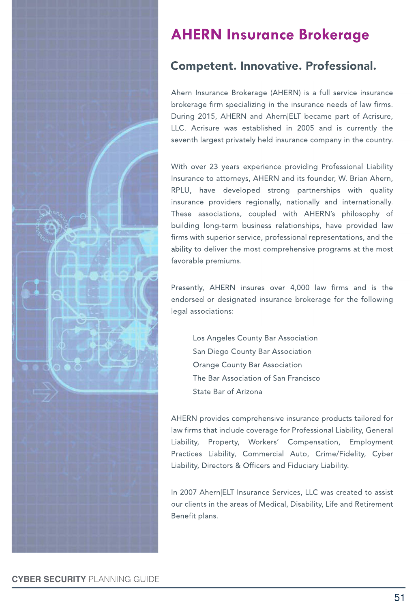

# **AHERN Insurance Brokerage**

# **Competent. Innovative. Professional.**

Ahern Insurance Brokerage (AHERN) is a full service insurance brokerage firm specializing in the insurance needs of law firms. During 2015, AHERN and Ahern|ELT became part of Acrisure, LLC. Acrisure was established in 2005 and is currently the seventh largest privately held insurance company in the country.

With over 23 years experience providing Professional Liability Insurance to attorneys, AHERN and its founder, W. Brian Ahern, RPLU, have developed strong partnerships with quality insurance providers regionally, nationally and internationally. These associations, coupled with AHERN's philosophy of building long-term business relationships, have provided law firms with superior service, professional representations, and the ability to deliver the most comprehensive programs at the most favorable premiums.

Presently, AHERN insures over 4,000 law firms and is the endorsed or designated insurance brokerage for the following legal associations:

 Los Angeles County Bar Association San Diego County Bar Association Orange County Bar Association The Bar Association of San Francisco State Bar of Arizona

AHERN provides comprehensive insurance products tailored for law firms that include coverage for Professional Liability, General Liability, Property, Workers' Compensation, Employment Practices Liability, Commercial Auto, Crime/Fidelity, Cyber Liability, Directors & Officers and Fiduciary Liability.

In 2007 Ahern|ELT Insurance Services, LLC was created to assist our clients in the areas of Medical, Disability, Life and Retirement Benefit plans.